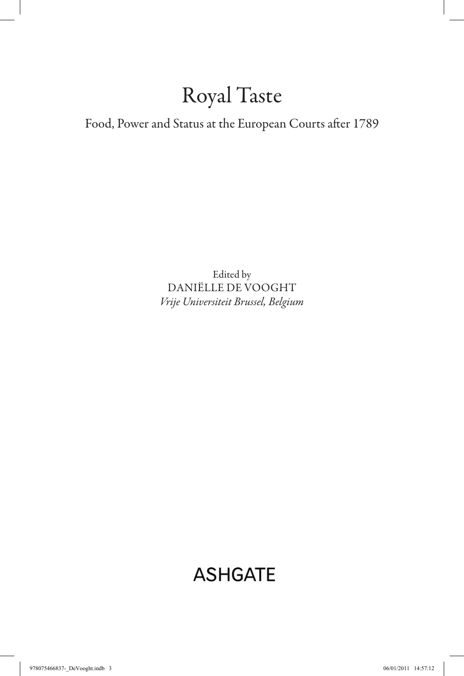Food, Power and Status at the European Courts after 1789

Edited by Daniëlle De Vooght *Vrije Universiteit Brussel, Belgium*

# **ASHGATE**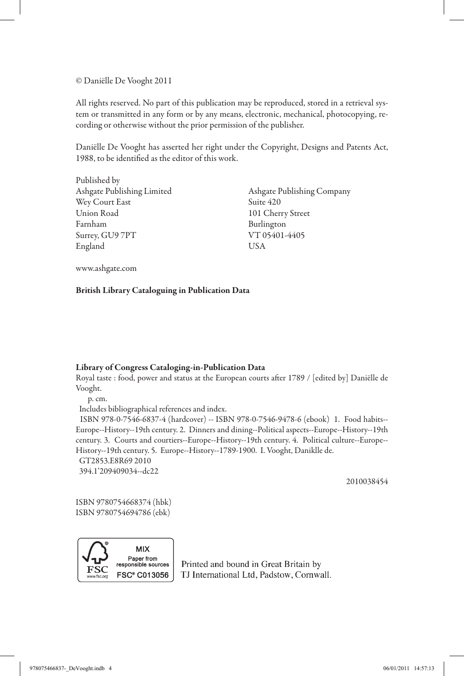© Daniëlle De Vooght 2011

All rights reserved. No part of this publication may be reproduced, stored in a retrieval system or transmitted in any form or by any means, electronic, mechanical, photocopying, recording or otherwise without the prior permission of the publisher.

Daniëlle De Vooght has asserted her right under the Copyright, Designs and Patents Act, 1988, to be identified as the editor of this work.

Published by Ashgate Publishing Limited Ashgate Publishing Company Wey Court East Suite 420 Union Road 101 Cherry Street Farnham Burlington Surrey, GU9 7PT VT 05401-4405 England USA

www.ashgate.com

British Library Cataloguing in Publication Data

#### Library of Congress Cataloging-in-Publication Data

Royal taste : food, power and status at the European courts after 1789 / [edited by] Daniëlle de Vooght.

p. cm.

Includes bibliographical references and index.

 ISBN 978-0-7546-6837-4 (hardcover) -- ISBN 978-0-7546-9478-6 (ebook) 1. Food habits-- Europe--History--19th century. 2. Dinners and dining--Political aspects--Europe--History--19th century. 3. Courts and courtiers--Europe--History--19th century. 4. Political culture--Europe-- History--19th century. 5. Europe--History--1789-1900. I. Vooght, Daniklle de. GT2853.E8R69 2010

394.1'209409034--dc22

2010038454

ISBN 9780754668374 (hbk) ISBN 9780754694786 (ebk)



Printed and bound in Great Britain by TJ International Ltd, Padstow, Cornwall.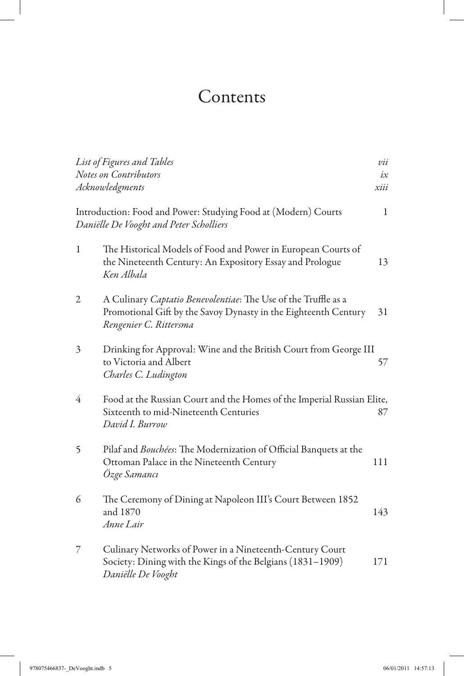# Contents

|   | List of Figures and Tables                                                                                                                                  | vii  |
|---|-------------------------------------------------------------------------------------------------------------------------------------------------------------|------|
|   | <b>Notes on Contributors</b>                                                                                                                                | ix   |
|   | Acknowledgments                                                                                                                                             | xiii |
|   | Introduction: Food and Power: Studying Food at (Modern) Courts<br>Daniëlle De Vooght and Peter Scholliers                                                   | 1    |
| 1 | The Historical Models of Food and Power in European Courts of<br>the Nineteenth Century: An Expository Essay and Prologue<br>Ken Albala                     | 13   |
| 2 | A Culinary Captatio Benevolentiae: The Use of the Truffle as a<br>Promotional Gift by the Savoy Dynasty in the Eighteenth Century<br>Rengenier C. Rittersma | 31   |
| 3 | Drinking for Approval: Wine and the British Court from George III<br>to Victoria and Albert<br>Charles C. Ludington                                         | 57   |
| 4 | Food at the Russian Court and the Homes of the Imperial Russian Elite,<br>Sixteenth to mid-Nineteenth Centuries<br>David I. Burrow                          | 87   |
| 5 | Pilaf and Bouchées: The Modernization of Official Banquets at the<br>Ottoman Palace in the Nineteenth Century<br>Özge Samancı                               | 111  |
| 6 | The Ceremony of Dining at Napoleon III's Court Between 1852<br>and 1870<br>Anne Lair                                                                        | 143  |
| 7 | Culinary Networks of Power in a Nineteenth-Century Court<br>Society: Dining with the Kings of the Belgians (1831–1909)<br>Daniëlle De Vooght                | 171  |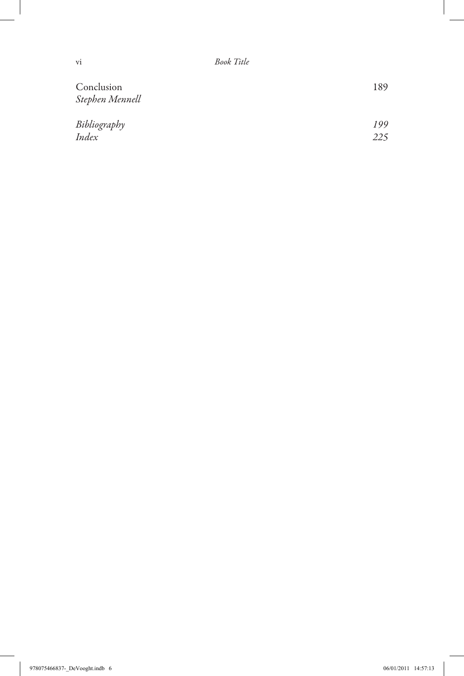| V1 | <b>Book Title</b> |
|----|-------------------|
|    |                   |

| Conclusion<br>Stephen Mennell | 189 |
|-------------------------------|-----|
| Bibliography                  | 199 |
| Index                         | 225 |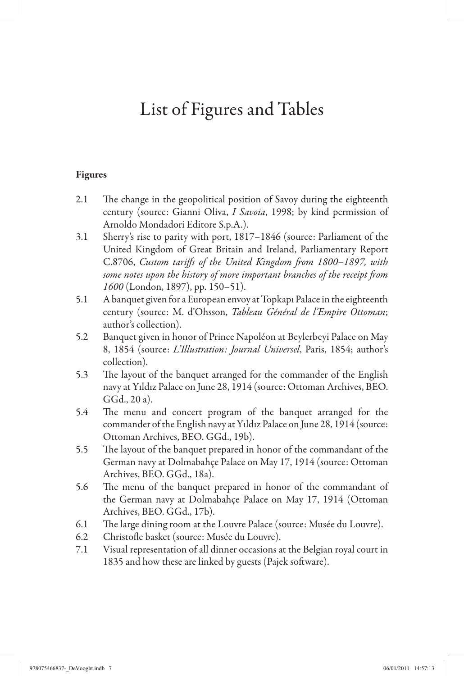# List of Figures and Tables

### Figures

- 2.1 The change in the geopolitical position of Savoy during the eighteenth century (source: Gianni Oliva, *I Savoia*, 1998; by kind permission of Arnoldo Mondadori Editore S.p.A.).
- 3.1 Sherry's rise to parity with port, 1817–1846 (source: Parliament of the United Kingdom of Great Britain and Ireland, Parliamentary Report C.8706, *Custom tariffs of the United Kingdom from 1800–1897, with some notes upon the history of more important branches of the receipt from 1600* (London, 1897), pp. 150–51).
- 5.1 A banquet given for a European envoy at Topkapı Palace in the eighteenth century (source: M. d'Ohsson, *Tableau Général de l'Empire Ottoman*; author's collection).
- 5.2 Banquet given in honor of Prince Napoléon at Beylerbeyi Palace on May 8, 1854 (source: *L'Illustration: Journal Universel*, Paris, 1854; author's collection).
- 5.3 The layout of the banquet arranged for the commander of the English navy at Yıldız Palace on June 28, 1914 (source: Ottoman Archives, BEO. GGd., 20 a).
- 5.4 The menu and concert program of the banquet arranged for the commander of the English navy at Yıldız Palace on June 28, 1914 (source: Ottoman Archives, BEO. GGd., 19b).
- 5.5 The layout of the banquet prepared in honor of the commandant of the German navy at Dolmabahçe Palace on May 17, 1914 (source: Ottoman Archives, BEO. GGd., 18a).
- 5.6 The menu of the banquet prepared in honor of the commandant of the German navy at Dolmabahçe Palace on May 17, 1914 (Ottoman Archives, BEO. GGd., 17b).
- 6.1 The large dining room at the Louvre Palace (source: Musée du Louvre).
- 6.2 Christofle basket (source: Musée du Louvre).
- 7.1 Visual representation of all dinner occasions at the Belgian royal court in 1835 and how these are linked by guests (Pajek software).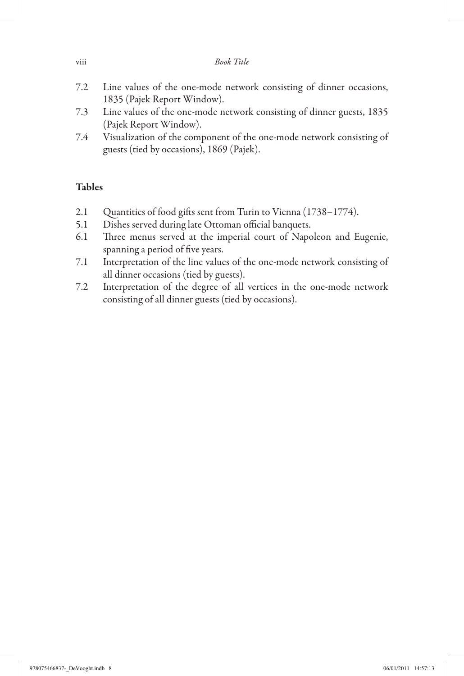#### viii *Book Title*

- 7.2 Line values of the one-mode network consisting of dinner occasions, 1835 (Pajek Report Window).
- 7.3 Line values of the one-mode network consisting of dinner guests, 1835 (Pajek Report Window).
- 7.4 Visualization of the component of the one-mode network consisting of guests (tied by occasions), 1869 (Pajek).

### Tables

- 2.1 Quantities of food gifts sent from Turin to Vienna (1738–1774).
- 5.1 Dishes served during late Ottoman official banquets.
- 6.1 Three menus served at the imperial court of Napoleon and Eugenie, spanning a period of five years.
- 7.1 Interpretation of the line values of the one-mode network consisting of all dinner occasions (tied by guests).
- 7.2 Interpretation of the degree of all vertices in the one-mode network consisting of all dinner guests (tied by occasions).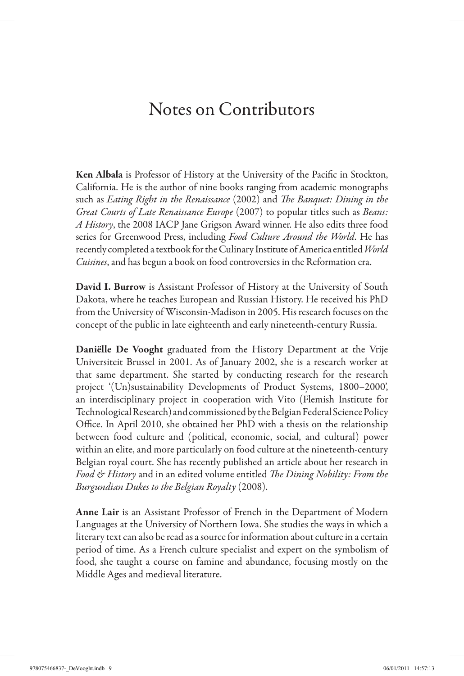# Notes on Contributors

Ken Albala is Professor of History at the University of the Pacific in Stockton, California. He is the author of nine books ranging from academic monographs such as *Eating Right in the Renaissance* (2002) and *The Banquet: Dining in the Great Courts of Late Renaissance Europe* (2007) to popular titles such as *Beans: A History*, the 2008 IACP Jane Grigson Award winner. He also edits three food series for Greenwood Press, including *Food Culture Around the World*. He has recently completed a textbook for the Culinary Institute of America entitled *World Cuisines*, and has begun a book on food controversies in the Reformation era.

David I. Burrow is Assistant Professor of History at the University of South Dakota, where he teaches European and Russian History. He received his PhD from the University of Wisconsin-Madison in 2005. His research focuses on the concept of the public in late eighteenth and early nineteenth-century Russia.

Daniëlle De Vooght graduated from the History Department at the Vrije Universiteit Brussel in 2001. As of January 2002, she is a research worker at that same department. She started by conducting research for the research project '(Un)sustainability Developments of Product Systems, 1800–2000', an interdisciplinary project in cooperation with Vito (Flemish Institute for Technological Research) and commissioned by the Belgian Federal Science Policy Office. In April 2010, she obtained her PhD with a thesis on the relationship between food culture and (political, economic, social, and cultural) power within an elite, and more particularly on food culture at the nineteenth-century Belgian royal court. She has recently published an article about her research in *Food & History* and in an edited volume entitled *The Dining Nobility: From the Burgundian Dukes to the Belgian Royalty* (2008).

Anne Lair is an Assistant Professor of French in the Department of Modern Languages at the University of Northern Iowa. She studies the ways in which a literary text can also be read as a source for information about culture in a certain period of time. As a French culture specialist and expert on the symbolism of food, she taught a course on famine and abundance, focusing mostly on the Middle Ages and medieval literature.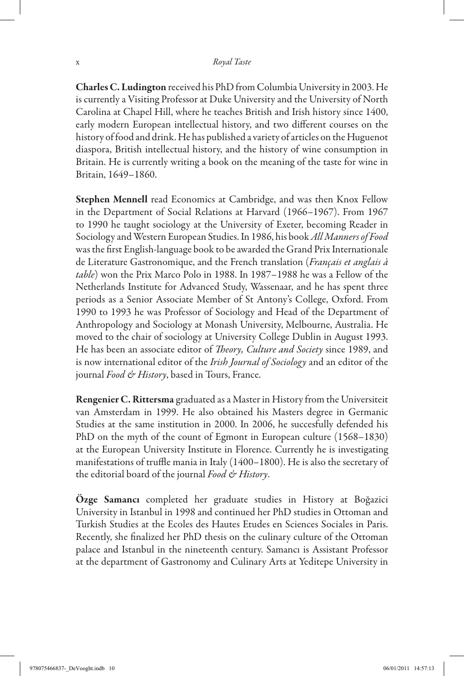Charles C. Ludington received his PhD from Columbia University in 2003. He is currently a Visiting Professor at Duke University and the University of North Carolina at Chapel Hill, where he teaches British and Irish history since 1400, early modern European intellectual history, and two different courses on the history of food and drink. He has published a variety of articles on the Huguenot diaspora, British intellectual history, and the history of wine consumption in Britain. He is currently writing a book on the meaning of the taste for wine in Britain, 1649–1860.

Stephen Mennell read Economics at Cambridge, and was then Knox Fellow in the Department of Social Relations at Harvard (1966–1967). From 1967 to 1990 he taught sociology at the University of Exeter, becoming Reader in Sociology and Western European Studies. In 1986, his book *All Manners of Food* was the first English-language book to be awarded the Grand Prix Internationale de Literature Gastronomique, and the French translation (*Français et anglais à table*) won the Prix Marco Polo in 1988. In 1987–1988 he was a Fellow of the Netherlands Institute for Advanced Study, Wassenaar, and he has spent three periods as a Senior Associate Member of St Antony's College, Oxford. From 1990 to 1993 he was Professor of Sociology and Head of the Department of Anthropology and Sociology at Monash University, Melbourne, Australia. He moved to the chair of sociology at University College Dublin in August 1993. He has been an associate editor of *Theory, Culture and Society* since 1989, and is now international editor of the *Irish Journal of Sociology* and an editor of the journal *Food & History*, based in Tours, France.

Rengenier C. Rittersma graduated as a Master in History from the Universiteit van Amsterdam in 1999. He also obtained his Masters degree in Germanic Studies at the same institution in 2000. In 2006, he succesfully defended his PhD on the myth of the count of Egmont in European culture (1568–1830) at the European University Institute in Florence. Currently he is investigating manifestations of truffle mania in Italy (1400–1800). He is also the secretary of the editorial board of the journal *Food & History*.

Özge Samancı completed her graduate studies in History at Boğazici University in Istanbul in 1998 and continued her PhD studies in Ottoman and Turkish Studies at the Ecoles des Hautes Etudes en Sciences Sociales in Paris. Recently, she finalized her PhD thesis on the culinary culture of the Ottoman palace and Istanbul in the nineteenth century. Samancı is Assistant Professor at the department of Gastronomy and Culinary Arts at Yeditepe University in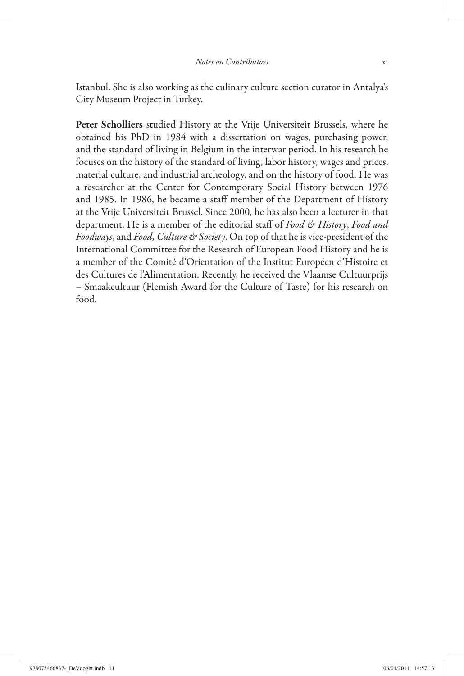Istanbul. She is also working as the culinary culture section curator in Antalya's City Museum Project in Turkey.

Peter Scholliers studied History at the Vrije Universiteit Brussels, where he obtained his PhD in 1984 with a dissertation on wages, purchasing power, and the standard of living in Belgium in the interwar period. In his research he focuses on the history of the standard of living, labor history, wages and prices, material culture, and industrial archeology, and on the history of food. He was a researcher at the Center for Contemporary Social History between 1976 and 1985. In 1986, he became a staff member of the Department of History at the Vrije Universiteit Brussel. Since 2000, he has also been a lecturer in that department. He is a member of the editorial staff of *Food & History*, *Food and Foodways*, and *Food, Culture & Society*. On top of that he is vice-president of the International Committee for the Research of European Food History and he is a member of the Comité d'Orientation of the Institut Européen d'Histoire et des Cultures de l'Alimentation. Recently, he received the Vlaamse Cultuurprijs – Smaakcultuur (Flemish Award for the Culture of Taste) for his research on food.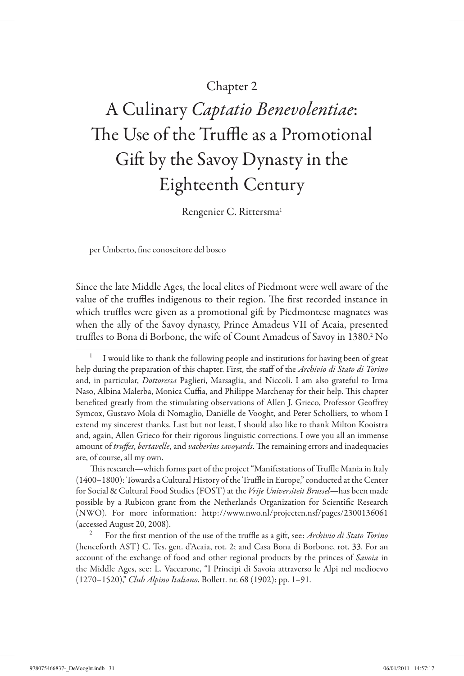# Chapter 2

# A Culinary *Captatio Benevolentiae*: The Use of the Truffle as a Promotional Gift by the Savoy Dynasty in the Eighteenth Century

Rengenier C. Rittersma1

per Umberto, fine conoscitore del bosco

Since the late Middle Ages, the local elites of Piedmont were well aware of the value of the truffles indigenous to their region. The first recorded instance in which truffles were given as a promotional gift by Piedmontese magnates was when the ally of the Savoy dynasty, Prince Amadeus VII of Acaia, presented truffles to Bona di Borbone, the wife of Count Amadeus of Savoy in 1380.2 No

This research—which forms part of the project "Manifestations of Truffle Mania in Italy (1400–1800): Towards a Cultural History of the Truffle in Europe," conducted at the Center for Social & Cultural Food Studies (FOST) at the *Vrije Universiteit Brussel*—has been made possible by a Rubicon grant from the Netherlands Organization for Scientific Research (NWO). For more information: http://www.nwo.nl/projecten.nsf/pages/2300136061 (accessed August 20, 2008).

2 For the first mention of the use of the truffle as a gift, see: *Archivio di Stato Torino* (henceforth AST) C. Tes. gen. d'Acaia, rot. 2; and Casa Bona di Borbone, rot. 33. For an account of the exchange of food and other regional products by the princes of *Savoia* in the Middle Ages, see: L. Vaccarone, "I Principi di Savoia attraverso le Alpi nel medioevo (1270–1520)," *Club Alpino Italiano*, Bollett. nr. 68 (1902): pp. 1–91.

I would like to thank the following people and institutions for having been of great help during the preparation of this chapter. First, the staff of the *Archivio di Stato di Torino* and, in particular, *Dottoressa* Paglieri, Marsaglia, and Niccoli. I am also grateful to Irma Naso, Albina Malerba, Monica Cuffia, and Philippe Marchenay for their help. This chapter benefited greatly from the stimulating observations of Allen J. Grieco, Professor Geoffrey Symcox, Gustavo Mola di Nomaglio, Daniëlle de Vooght, and Peter Scholliers, to whom I extend my sincerest thanks. Last but not least, I should also like to thank Milton Kooistra and, again, Allen Grieco for their rigorous linguistic corrections. I owe you all an immense amount of *truffes*, *bertavelle*, and *vacherins savoyards*. The remaining errors and inadequacies are, of course, all my own.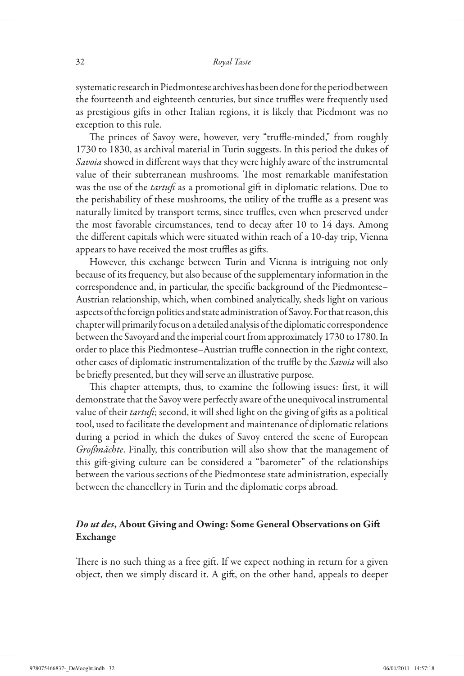systematic research in Piedmontese archives has been done for the period between the fourteenth and eighteenth centuries, but since truffles were frequently used as prestigious gifts in other Italian regions, it is likely that Piedmont was no exception to this rule.

The princes of Savoy were, however, very "truffle-minded," from roughly 1730 to 1830, as archival material in Turin suggests. In this period the dukes of *Savoia* showed in different ways that they were highly aware of the instrumental value of their subterranean mushrooms. The most remarkable manifestation was the use of the *tartufi* as a promotional gift in diplomatic relations. Due to the perishability of these mushrooms, the utility of the truffle as a present was naturally limited by transport terms, since truffles, even when preserved under the most favorable circumstances, tend to decay after 10 to 14 days. Among the different capitals which were situated within reach of a 10-day trip, Vienna appears to have received the most truffles as gifts.

However, this exchange between Turin and Vienna is intriguing not only because of its frequency, but also because of the supplementary information in the correspondence and, in particular, the specific background of the Piedmontese– Austrian relationship, which, when combined analytically, sheds light on various aspects of the foreign politics and state administration of Savoy. For that reason, this chapter will primarily focus on a detailed analysis of the diplomatic correspondence between the Savoyard and the imperial court from approximately 1730 to 1780. In order to place this Piedmontese–Austrian truffle connection in the right context, other cases of diplomatic instrumentalization of the truffle by the *Savoia* will also be briefly presented, but they will serve an illustrative purpose.

This chapter attempts, thus, to examine the following issues: first, it will demonstrate that the Savoy were perfectly aware of the unequivocal instrumental value of their *tartufi*; second, it will shed light on the giving of gifts as a political tool, used to facilitate the development and maintenance of diplomatic relations during a period in which the dukes of Savoy entered the scene of European *Großmächte*. Finally, this contribution will also show that the management of this gift-giving culture can be considered a "barometer" of the relationships between the various sections of the Piedmontese state administration, especially between the chancellery in Turin and the diplomatic corps abroad.

### *Do ut des*, About Giving and Owing: Some General Observations on Gift Exchange

There is no such thing as a free gift. If we expect nothing in return for a given object, then we simply discard it. A gift, on the other hand, appeals to deeper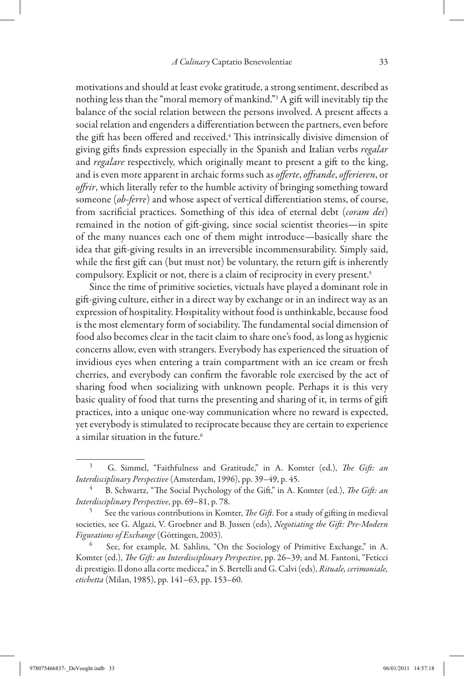motivations and should at least evoke gratitude, a strong sentiment, described as nothing less than the "moral memory of mankind."3 A gift will inevitably tip the balance of the social relation between the persons involved. A present affects a social relation and engenders a differentiation between the partners, even before the gift has been offered and received.4 This intrinsically divisive dimension of giving gifts finds expression especially in the Spanish and Italian verbs *regalar* and *regalare* respectively, which originally meant to present a gift to the king, and is even more apparent in archaic forms such as *offerte*, *offrande*, *offerieren*, or *offrir*, which literally refer to the humble activity of bringing something toward someone (*ob-ferre*) and whose aspect of vertical differentiation stems, of course, from sacrificial practices. Something of this idea of eternal debt (*coram dei*) remained in the notion of gift-giving, since social scientist theories—in spite of the many nuances each one of them might introduce—basically share the idea that gift-giving results in an irreversible incommensurability. Simply said, while the first gift can (but must not) be voluntary, the return gift is inherently compulsory. Explicit or not, there is a claim of reciprocity in every present.5

Since the time of primitive societies, victuals have played a dominant role in gift-giving culture, either in a direct way by exchange or in an indirect way as an expression of hospitality. Hospitality without food is unthinkable, because food is the most elementary form of sociability. The fundamental social dimension of food also becomes clear in the tacit claim to share one's food, as long as hygienic concerns allow, even with strangers. Everybody has experienced the situation of invidious eyes when entering a train compartment with an ice cream or fresh cherries, and everybody can confirm the favorable role exercised by the act of sharing food when socializing with unknown people. Perhaps it is this very basic quality of food that turns the presenting and sharing of it, in terms of gift practices, into a unique one-way communication where no reward is expected, yet everybody is stimulated to reciprocate because they are certain to experience a similar situation in the future.<sup>6</sup>

<sup>3</sup> G. Simmel, "Faithfulness and Gratitude," in A. Komter (ed.), *The Gift: an Interdisciplinary Perspective* (Amsterdam, 1996), pp. 39–49, p. 45.

<sup>4</sup> B. Schwartz, "The Social Psychology of the Gift," in A. Komter (ed.), *The Gift: an Interdisciplinary Perspective*, pp. 69–81, p. 78.

<sup>5</sup> See the various contributions in Komter, *The Gift*. For a study of gifting in medieval societies, see G. Algazi, V. Groebner and B. Jussen (eds), *Negotiating the Gift: Pre-Modern Figurations of Exchange* (Göttingen, 2003).<br><sup>6</sup> See, for example, M. Sahlins, "On the Sociology of Primitive Exchange," in A.

Komter (ed.), *The Gift: an Interdisciplinary Perspective*, pp. 26–39; and M. Fantoni, "Feticci di prestigio. Il dono alla corte medicea," in S. Bertelli and G. Calvi (eds), *Rituale, cerimoniale, etichetta* (Milan, 1985), pp. 141–63, pp. 153–60.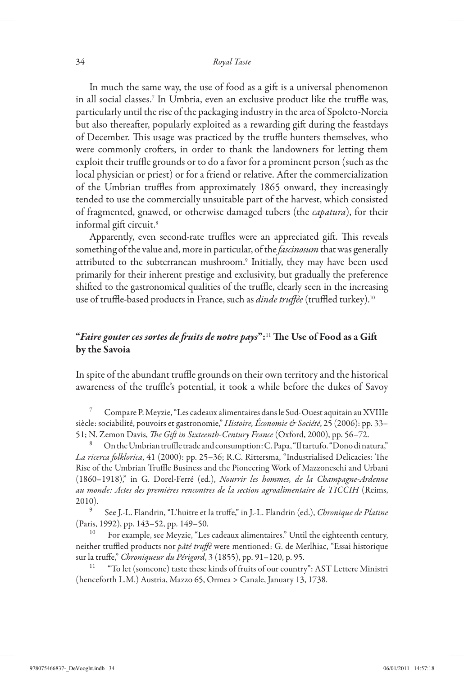In much the same way, the use of food as a gift is a universal phenomenon in all social classes.7 In Umbria, even an exclusive product like the truffle was, particularly until the rise of the packaging industry in the area of Spoleto-Norcia but also thereafter, popularly exploited as a rewarding gift during the feastdays of December. This usage was practiced by the truffle hunters themselves, who were commonly crofters, in order to thank the landowners for letting them exploit their truffle grounds or to do a favor for a prominent person (such as the local physician or priest) or for a friend or relative. After the commercialization of the Umbrian truffles from approximately 1865 onward, they increasingly tended to use the commercially unsuitable part of the harvest, which consisted of fragmented, gnawed, or otherwise damaged tubers (the *capatura*), for their informal gift circuit.8

Apparently, even second-rate truffles were an appreciated gift. This reveals something of the value and, more in particular, of the *fascinosum* that was generally attributed to the subterranean mushroom.9 Initially, they may have been used primarily for their inherent prestige and exclusivity, but gradually the preference shifted to the gastronomical qualities of the truffle, clearly seen in the increasing use of truffle-based products in France, such as *dinde truffée* (truffled turkey).<sup>10</sup>

## "*Faire gouter ces sortes de fruits de notre pays*":11 The Use of Food as a Gift by the Savoia

In spite of the abundant truffle grounds on their own territory and the historical awareness of the truffle's potential, it took a while before the dukes of Savoy

<sup>7</sup> Compare P. Meyzie, "Les cadeaux alimentaires dans le Sud-Ouest aquitain au XVIIIe siècle: sociabilité, pouvoirs et gastronomie," *Histoire, Économie & Société*, 25 (2006): pp. 33– 51; N. Zemon Davis, *The Gift in Sixteenth-Century France* (Oxford, 2000), pp. 56–72.

<sup>8</sup> On the Umbrian truffle trade and consumption: C. Papa, "Il tartufo. "Dono di natura," *La ricerca folklorica*, 41 (2000): pp. 25–36; R.C. Rittersma, "Industrialised Delicacies: The Rise of the Umbrian Truffle Business and the Pioneering Work of Mazzoneschi and Urbani (1860–1918)," in G. Dorel-Ferré (ed.), *Nourrir les hommes, de la Champagne-Ardenne au monde: Actes des premières rencontres de la section agroalimentaire de TICCIH* (Reims, 2010).

<sup>9</sup> See J.-L. Flandrin, "L'huitre et la truffe," in J.-L. Flandrin (ed.), *Chronique de Platine* (Paris, 1992), pp. 143–52, pp. 149–50.

<sup>10</sup> For example, see Meyzie, "Les cadeaux alimentaires." Until the eighteenth century, neither truffled products nor *pâté truffé* were mentioned: G. de Merlhiac, "Essai historique sur la truffe," *Chroniqueur du Périgord*, 3 (1855), pp. 91–120, p. 95.

<sup>11 &</sup>quot;To let (someone) taste these kinds of fruits of our country": AST Lettere Ministri (henceforth L.M.) Austria, Mazzo 65, Ormea > Canale, January 13, 1738.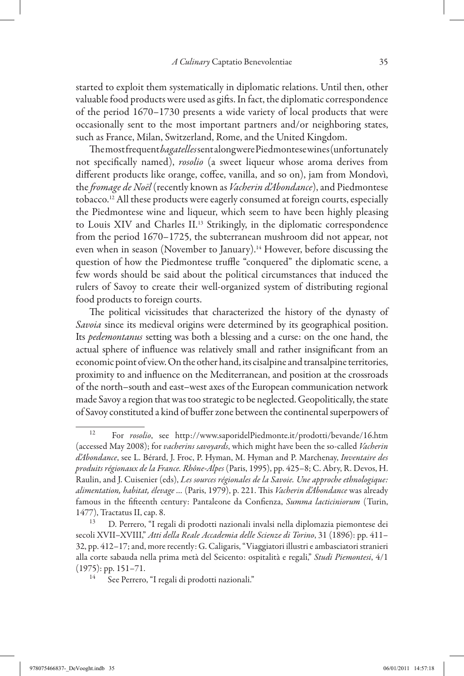started to exploit them systematically in diplomatic relations. Until then, other valuable food products were used as gifts. In fact, the diplomatic correspondence of the period 1670–1730 presents a wide variety of local products that were occasionally sent to the most important partners and/or neighboring states, such as France, Milan, Switzerland, Rome, and the United Kingdom.

The most frequent *bagatelles* sent along were Piedmontese wines (unfortunately not specifically named), *rosolio* (a sweet liqueur whose aroma derives from different products like orange, coffee, vanilla, and so on), jam from Mondovì, the *fromage de Noël* (recently known as *Vacherin d'Abondance*), and Piedmontese tobacco.12 All these products were eagerly consumed at foreign courts, especially the Piedmontese wine and liqueur, which seem to have been highly pleasing to Louis XIV and Charles II. <sup>13</sup> Strikingly, in the diplomatic correspondence from the period 1670–1725, the subterranean mushroom did not appear, not even when in season (November to January).<sup>14</sup> However, before discussing the question of how the Piedmontese truffle "conquered" the diplomatic scene, a few words should be said about the political circumstances that induced the rulers of Savoy to create their well-organized system of distributing regional food products to foreign courts.

The political vicissitudes that characterized the history of the dynasty of *Savoia* since its medieval origins were determined by its geographical position. Its *pedemontanus* setting was both a blessing and a curse: on the one hand, the actual sphere of influence was relatively small and rather insignificant from an economic point of view. On the other hand, its cisalpine and transalpine territories, proximity to and influence on the Mediterranean, and position at the crossroads of the north–south and east–west axes of the European communication network made Savoy a region that was too strategic to be neglected. Geopolitically, the state of Savoy constituted a kind of buffer zone between the continental superpowers of

<sup>12</sup> For *rosolio*, see http://www.saporidelPiedmonte.it/prodotti/bevande/16.htm (accessed May 2008); for *vacherins savoyards*, which might have been the so-called *Vacherin d'Abondance*, see L. Bérard, J. Froc, P. Hyman, M. Hyman and P. Marchenay, *Inventaire des produits régionaux de la France. Rhône-Alpes* (Paris, 1995), pp. 425–8; C. Abry, R. Devos, H. Raulin, and J. Cuisenier (eds), *Les sources régionales de la Savoie. Une approche ethnologique: alimentation, habitat, élevage …* (Paris, 1979), p. 221. This *Vacherin d'Abondance* was already famous in the fifteenth century: Pantaleone da Confienza, *Summa lacticiniorum* (Turin, 1477), Tractatus II, cap. 8.

<sup>13</sup> D. Perrero, "I regali di prodotti nazionali invalsi nella diplomazia piemontese dei secoli XVII–XVIII," *Atti della Reale Accademia delle Scienze di Torino*, 31 (1896): pp. 411– 32, pp. 412–17; and, more recently: G. Caligaris, "Viaggiatori illustri e ambasciatori stranieri alla corte sabauda nella prima metà del Seicento: ospitalità e regali," *Studi Piemontesi*, 4/1 (1975): pp. 151–71.

See Perrero, "I regali di prodotti nazionali."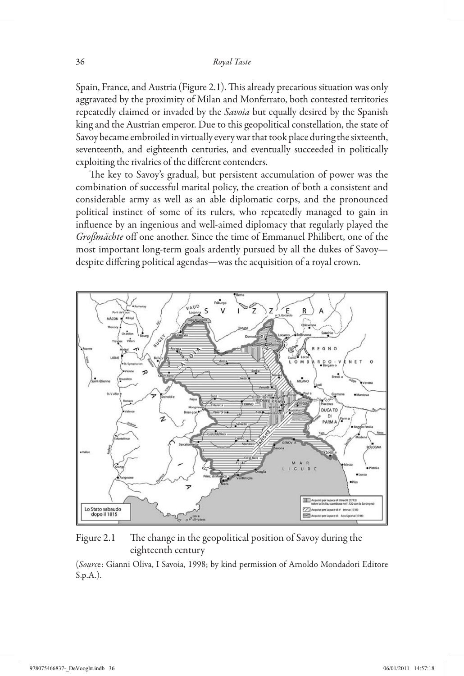Spain, France, and Austria (Figure 2.1). This already precarious situation was only aggravated by the proximity of Milan and Monferrato, both contested territories repeatedly claimed or invaded by the *Savoia* but equally desired by the Spanish king and the Austrian emperor. Due to this geopolitical constellation, the state of Savoy became embroiled in virtually every war that took place during the sixteenth, seventeenth, and eighteenth centuries, and eventually succeeded in politically exploiting the rivalries of the different contenders.

The key to Savoy's gradual, but persistent accumulation of power was the combination of successful marital policy, the creation of both a consistent and considerable army as well as an able diplomatic corps, and the pronounced political instinct of some of its rulers, who repeatedly managed to gain in influence by an ingenious and well-aimed diplomacy that regularly played the *Großmächte* off one another. Since the time of Emmanuel Philibert, one of the most important long-term goals ardently pursued by all the dukes of Savoy despite differing political agendas—was the acquisition of a royal crown.



## Figure 2.1 The change in the geopolitical position of Savoy during the eighteenth century

(*Sourc*e: Gianni Oliva, I Savoia, 1998; by kind permission of Arnoldo Mondadori Editore S.p.A.).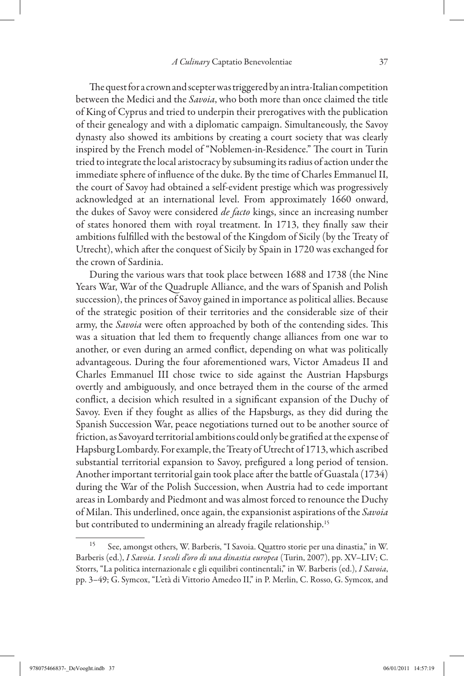The quest for a crown and scepter was triggered by an intra-Italian competition between the Medici and the *Savoia*, who both more than once claimed the title of King of Cyprus and tried to underpin their prerogatives with the publication of their genealogy and with a diplomatic campaign. Simultaneously, the Savoy dynasty also showed its ambitions by creating a court society that was clearly inspired by the French model of "Noblemen-in-Residence." The court in Turin tried to integrate the local aristocracy by subsuming its radius of action under the immediate sphere of influence of the duke. By the time of Charles Emmanuel II, the court of Savoy had obtained a self-evident prestige which was progressively acknowledged at an international level. From approximately 1660 onward, the dukes of Savoy were considered *de facto* kings, since an increasing number of states honored them with royal treatment. In 1713, they finally saw their ambitions fulfilled with the bestowal of the Kingdom of Sicily (by the Treaty of Utrecht), which after the conquest of Sicily by Spain in 1720 was exchanged for the crown of Sardinia.

During the various wars that took place between 1688 and 1738 (the Nine Years War, War of the Quadruple Alliance, and the wars of Spanish and Polish succession), the princes of Savoy gained in importance as political allies. Because of the strategic position of their territories and the considerable size of their army, the *Savoia* were often approached by both of the contending sides. This was a situation that led them to frequently change alliances from one war to another, or even during an armed conflict, depending on what was politically advantageous. During the four aforementioned wars, Victor Amadeus II and Charles Emmanuel III chose twice to side against the Austrian Hapsburgs overtly and ambiguously, and once betrayed them in the course of the armed conflict, a decision which resulted in a significant expansion of the Duchy of Savoy. Even if they fought as allies of the Hapsburgs, as they did during the Spanish Succession War, peace negotiations turned out to be another source of friction, as Savoyard territorial ambitions could only be gratified at the expense of Hapsburg Lombardy. For example, the Treaty of Utrecht of 1713, which ascribed substantial territorial expansion to Savoy, prefigured a long period of tension. Another important territorial gain took place after the battle of Guastala (1734) during the War of the Polish Succession, when Austria had to cede important areas in Lombardy and Piedmont and was almost forced to renounce the Duchy of Milan. This underlined, once again, the expansionist aspirations of the *Savoia*  but contributed to undermining an already fragile relationship.<sup>15</sup>

<sup>15</sup> See, amongst others, W. Barberis, "I Savoia. Quattro storie per una dinastia," in W. Barberis (ed.), *I Savoia. I secoli d'oro di una dinastia europea* (Turin, 2007), pp. XV–LIV; C. Storrs, "La politica internazionale e gli equilibri continentali," in W. Barberis (ed.), *I Savoia*, pp. 3–49; G. Symcox, "L'età di Vittorio Amedeo II," in P. Merlin, C. Rosso, G. Symcox, and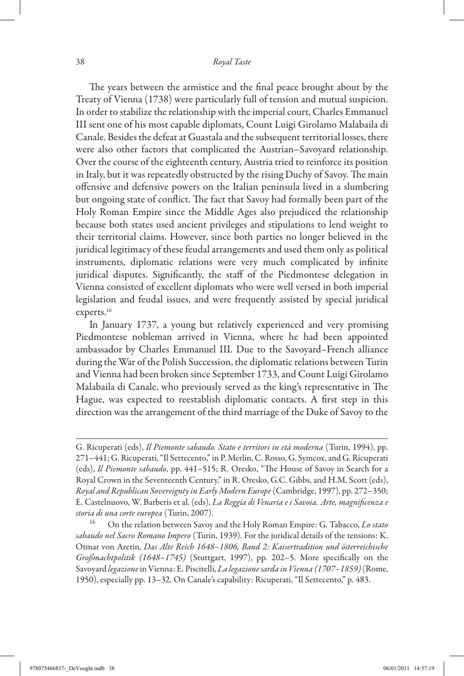The years between the armistice and the final peace brought about by the Treaty of Vienna (1738) were particularly full of tension and mutual suspicion. In order to stabilize the relationship with the imperial court, Charles Emmanuel III sent one of his most capable diplomats, Count Luigi Girolamo Malabaila di Canale. Besides the defeat at Guastala and the subsequent territorial losses, there were also other factors that complicated the Austrian–Savoyard relationship. Over the course of the eighteenth century, Austria tried to reinforce its position in Italy, but it was repeatedly obstructed by the rising Duchy of Savoy. The main offensive and defensive powers on the Italian peninsula lived in a slumbering but ongoing state of conflict. The fact that Savoy had formally been part of the Holy Roman Empire since the Middle Ages also prejudiced the relationship because both states used ancient privileges and stipulations to lend weight to their territorial claims. However, since both parties no longer believed in the juridical legitimacy of these feudal arrangements and used them only as political instruments, diplomatic relations were very much complicated by infinite juridical disputes. Significantly, the staff of the Piedmontese delegation in Vienna consisted of excellent diplomats who were well versed in both imperial legislation and feudal issues, and were frequently assisted by special juridical experts.16

In January 1737, a young but relatively experienced and very promising Piedmontese nobleman arrived in Vienna, where he had been appointed ambassador by Charles Emmanuel III. Due to the Savoyard–French alliance during the War of the Polish Succession, the diplomatic relations between Turin and Vienna had been broken since September 1733, and Count Luigi Girolamo Malabaila di Canale, who previously served as the king's representative in The Hague, was expected to reestablish diplomatic contacts. A first step in this direction was the arrangement of the third marriage of the Duke of Savoy to the

G. Ricuperati (eds), *Il Piemonte sabaudo. Stato e territori in età moderna* (Turin, 1994), pp. 271–441; G. Ricuperati, "Il Settecento," in P. Merlin, C. Rosso, G. Symcox, and G. Ricuperati (eds), *Il Piemonte sabaudo*, pp. 441–515; R. Oresko, "The House of Savoy in Search for a Royal Crown in the Seventeenth Century," in R. Oresko, G.C. Gibbs, and H.M. Scott (eds), *Royal and Republican Sovereignty in Early Modern Europe* (Cambridge, 1997), pp. 272–350; E. Castelnuovo, W. Barberis et al. (eds), *La Reggia di Venaria e i Savoia. Arte, magnificenza e storia di una corte europea* (Turin, 2007).

<sup>16</sup> On the relation between Savoy and the Holy Roman Empire: G. Tabacco, *Lo stato sabaudo nel Sacro Romano Impero* (Turin, 1939). For the juridical details of the tensions: K. Otmar von Aretin, *Das Alte Reich 1648–1806, Band 2: Kaisertradition und österreichische Großmachtpolitik (1648–1745)* (Stuttgart, 1997), pp. 202–5. More specifically on the Savoyard *legazione* in Vienna: E. Piscitelli, *La legazione sarda in Vienna (1707–1859)* (Rome, 1950), especially pp. 13–32. On Canale's capability: Ricuperati, "Il Settecento," p. 483.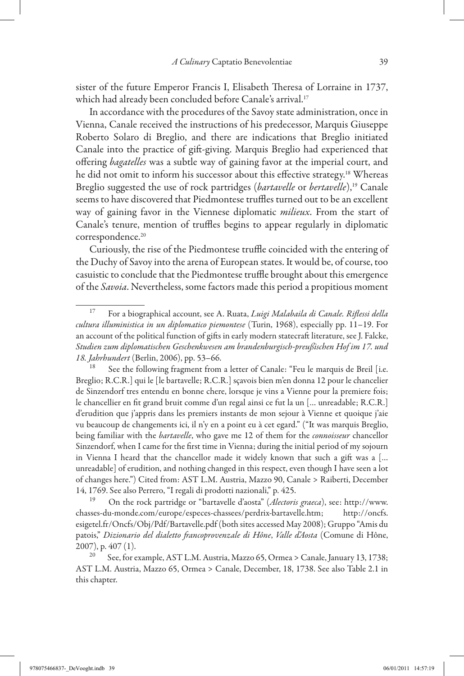sister of the future Emperor Francis I, Elisabeth Theresa of Lorraine in 1737, which had already been concluded before Canale's arrival.<sup>17</sup>

In accordance with the procedures of the Savoy state administration, once in Vienna, Canale received the instructions of his predecessor, Marquis Giuseppe Roberto Solaro di Breglio, and there are indications that Breglio initiated Canale into the practice of gift-giving. Marquis Breglio had experienced that offering *bagatelles* was a subtle way of gaining favor at the imperial court, and he did not omit to inform his successor about this effective strategy.18 Whereas Breglio suggested the use of rock partridges (*bartavelle* or *bertavelle*),19 Canale seems to have discovered that Piedmontese truffles turned out to be an excellent way of gaining favor in the Viennese diplomatic *milieux*. From the start of Canale's tenure, mention of truffles begins to appear regularly in diplomatic correspondence.<sup>20</sup>

Curiously, the rise of the Piedmontese truffle coincided with the entering of the Duchy of Savoy into the arena of European states. It would be, of course, too casuistic to conclude that the Piedmontese truffle brought about this emergence of the *Savoia*. Nevertheless, some factors made this period a propitious moment

<sup>19</sup> On the rock partridge or "bartavelle d'aosta" (*Alectoris graeca*), see: http://www. chasses-du-monde.com/europe/especes-chassees/perdrix-bartavelle.htm; http://oncfs. esigetel.fr/Oncfs/Obj/Pdf/Bartavelle.pdf (both sites accessed May 2008); Gruppo "Amis du patois," *Dizionario del dialetto francoprovenzale di Hône*, *Valle d'Aosta* (Comune di Hône, 2007), p. 407 (1).

<sup>17</sup> For a biographical account, see A. Ruata, *Luigi Malabaila di Canale. Riflessi della cultura illuministica in un diplomatico piemontese* (Turin, 1968), especially pp. 11–19. For an account of the political function of gifts in early modern statecraft literature, see J. Falcke, *Studien zum diplomatischen Geschenkwesen am brandenburgisch-preußischen Hof im 17. und 18. Jahrhundert* (Berlin, 2006), pp. 53–66.

See the following fragment from a letter of Canale: "Feu le marquis de Breil [i.e. Breglio; R.C.R.] qui le [le bartavelle; R.C.R.] sçavois bien m'en donna 12 pour le chancelier de Sinzendorf tres entendu en bonne chere, lorsque je vins a Vienne pour la premiere fois; le chancellier en fit grand bruit comme d'un regal ainsi ce fut la un [… unreadable; R.C.R.] d'erudition que j'appris dans les premiers instants de mon sejour à Vienne et quoique j'aie vu beaucoup de changements ici, il n'y en a point eu à cet egard." ("It was marquis Breglio, being familiar with the *bartavelle*, who gave me 12 of them for the *connoisseur* chancellor Sinzendorf, when I came for the first time in Vienna; during the initial period of my sojourn in Vienna I heard that the chancellor made it widely known that such a gift was a [… unreadable] of erudition, and nothing changed in this respect, even though I have seen a lot of changes here.") Cited from: AST L.M. Austria, Mazzo 90, Canale > Raiberti, December 14, 1769. See also Perrero, "I regali di prodotti nazionali," p. 425.

See, for example, AST L.M. Austria, Mazzo 65, Ormea > Canale, January 13, 1738; AST L.M. Austria, Mazzo 65, Ormea > Canale, December, 18, 1738. See also Table 2.1 in this chapter.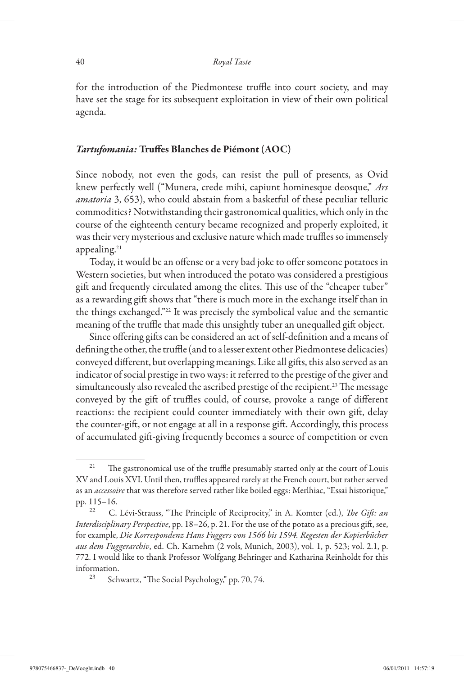for the introduction of the Piedmontese truffle into court society, and may have set the stage for its subsequent exploitation in view of their own political agenda.

#### *Tartufomania:* Truffes Blanches de Piémont (AOC)

Since nobody, not even the gods, can resist the pull of presents, as Ovid knew perfectly well ("Munera, crede mihi, capiunt hominesque deosque," *Ars amatoria* 3, 653), who could abstain from a basketful of these peculiar telluric commodities? Notwithstanding their gastronomical qualities, which only in the course of the eighteenth century became recognized and properly exploited, it was their very mysterious and exclusive nature which made truffles so immensely appealing.21

Today, it would be an offense or a very bad joke to offer someone potatoes in Western societies, but when introduced the potato was considered a prestigious gift and frequently circulated among the elites. This use of the "cheaper tuber" as a rewarding gift shows that "there is much more in the exchange itself than in the things exchanged."22 It was precisely the symbolical value and the semantic meaning of the truffle that made this unsightly tuber an unequalled gift object.

Since offering gifts can be considered an act of self-definition and a means of defining the other, the truffle (and to a lesser extent other Piedmontese delicacies) conveyed different, but overlapping meanings. Like all gifts, this also served as an indicator of social prestige in two ways: it referred to the prestige of the giver and simultaneously also revealed the ascribed prestige of the recipient.<sup>23</sup> The message conveyed by the gift of truffles could, of course, provoke a range of different reactions: the recipient could counter immediately with their own gift, delay the counter-gift, or not engage at all in a response gift. Accordingly, this process of accumulated gift-giving frequently becomes a source of competition or even

The gastronomical use of the truffle presumably started only at the court of Louis XV and Louis XVI. Until then, truffles appeared rarely at the French court, but rather served as an *accessoire* that was therefore served rather like boiled eggs: Merlhiac, "Essai historique," pp. 115–16.

<sup>22</sup> C. Lévi-Strauss, "The Principle of Reciprocity," in A. Komter (ed.), *The Gift: an Interdisciplinary Perspective*, pp. 18–26, p. 21. For the use of the potato as a precious gift, see, for example, *Die Korrespondenz Hans Fuggers von 1566 bis 1594. Regesten der Kopierbücher aus dem Fuggerarchiv*, ed. Ch. Karnehm (2 vols, Munich, 2003), vol. 1, p. 523; vol. 2.1, p. 772. I would like to thank Professor Wolfgang Behringer and Katharina Reinholdt for this information.

Schwartz, "The Social Psychology," pp. 70, 74.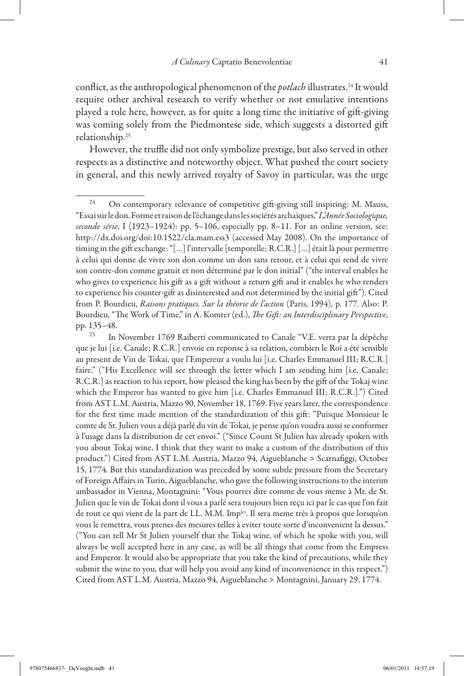conflict, as the anthropological phenomenon of the *potlach* illustrates.24 It would require other archival research to verify whether or not emulative intentions played a role here, however, as for quite a long time the initiative of gift-giving was coming solely from the Piedmontese side, which suggests a distorted gift relationship.25

However, the truffle did not only symbolize prestige, but also served in other respects as a distinctive and noteworthy object. What pushed the court society in general, and this newly arrived royalty of Savoy in particular, was the urge

<sup>25</sup> In November 1769 Raiberti communicated to Canale "V.E. verra par la dépêche que je lui [i.e. Canale; R.C.R.] envoie en reponse à sa relation, combien le Roi a été sensible au present de Vin de Tokai, que l'Empereur a voulu lui [i.e. Charles Emmanuel III; R.C.R.] faire." ("His Excellence will see through the letter which I am sending him [i.e. Canale; R.C.R.] as reaction to his report, how pleased the king has been by the gift of the Tokaj wine which the Emperor has wanted to give him [i.e. Charles Emmanuel III; R.C.R.].") Cited from AST L.M. Austria, Mazzo 90, November 18, 1769. Five years later, the correspondence for the first time made mention of the standardization of this gift: "Puisque Monsieur le comte de St. Julien vous a déjà parlé du vin de Tokai, je pense qu'on voudra aussi se conformer à l'usage dans la distribution de cet envoi." ("Since Count St Julien has already spoken with you about Tokaj wine, I think that they want to make a custom of the distribution of this product.") Cited from AST L.M. Austria, Mazzo 94, Aigueblanche > Scarnafiggi, October 15, 1774. But this standardization was preceded by some subtle pressure from the Secretary of Foreign Affairs in Turin, Aigueblanche, who gave the following instructions to the interim ambassador in Vienna, Montagnini: "Vous pourres dire comme de vous meme à Mr. de St. Julien que le vin de Tokai dont il vous a parlé sera toujours bien reçu ici par le cas que l'on fait de tout ce qui vient de la part de LL. M.M. Imples. Il sera meme très à propos que lorsqu'on vous le remettra, vous prenes des mesures telles à eviter toute sorte d'inconvenient la dessus." ("You can tell Mr St Julien yourself that the Tokaj wine, of which he spoke with you, will always be well accepted here in any case, as will be all things that come from the Empress and Emperor. It would also be appropriate that you take the kind of precautions, while they submit the wine to you, that will help you avoid any kind of inconvenience in this respect.") Cited from AST L.M. Austria, Mazzo 94, Aigueblanche > Montagnini, January 29, 1774.

 $24$  On contemporary relevance of competitive gift-giving still inspiring: M. Mauss, "Essai sur le don. Forme et raison de l'échange dans les sociétés archaïques," *L'Année Sociologique, seconde série*, I (1923–1924): pp. 5–106, especially pp. 8–11. For an online version, see: http://dx.doi.org/doi:10.1522/cla.mam.ess3 (accessed May 2008). On the importance of timing in the gift exchange: "[…] l'intervalle [temporelle; R.C.R.] […] était là pour permettre à celui qui donne de vivre son don comme un don sans retour, et à celui qui rend de vivre son contre-don comme gratuit et non déterminé par le don initial" ("the interval enables he who gives to experience his gift as a gift without a return gift and it enables he who renders to experience his counter-gift as disinterested and not determined by the initial gift"). Cited from P. Bourdieu, *Raisons pratiques. Sur la théorie de l'action* (Paris, 1994), p. 177. Also: P. Bourdieu, "The Work of Time," in A. Komter (ed.), *The Gift: an Interdisciplinary Perspective*, pp.  $135-48$ .<br> $\frac{25}{1}$  In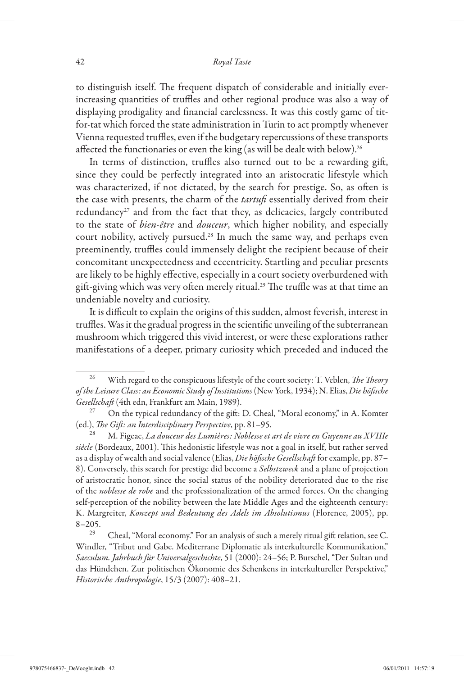to distinguish itself. The frequent dispatch of considerable and initially everincreasing quantities of truffles and other regional produce was also a way of displaying prodigality and financial carelessness. It was this costly game of titfor-tat which forced the state administration in Turin to act promptly whenever Vienna requested truffles, even if the budgetary repercussions of these transports affected the functionaries or even the king (as will be dealt with below).<sup>26</sup>

In terms of distinction, truffles also turned out to be a rewarding gift, since they could be perfectly integrated into an aristocratic lifestyle which was characterized, if not dictated, by the search for prestige. So, as often is the case with presents, the charm of the *tartufi* essentially derived from their redundancy<sup>27</sup> and from the fact that they, as delicacies, largely contributed to the state of *bien-être* and *douceur*, which higher nobility, and especially court nobility, actively pursued.<sup>28</sup> In much the same way, and perhaps even preeminently, truffles could immensely delight the recipient because of their concomitant unexpectedness and eccentricity. Startling and peculiar presents are likely to be highly effective, especially in a court society overburdened with gift-giving which was very often merely ritual.29 The truffle was at that time an undeniable novelty and curiosity.

It is difficult to explain the origins of this sudden, almost feverish, interest in truffles. Was it the gradual progress in the scientific unveiling of the subterranean mushroom which triggered this vivid interest, or were these explorations rather manifestations of a deeper, primary curiosity which preceded and induced the

<sup>26</sup> With regard to the conspicuous lifestyle of the court society: T. Veblen, *The Theory of the Leisure Class: an Economic Study of Institutions* (New York, 1934); N. Elias, *Die höfische Gesellschaft* (4th edn, Frankfurt am Main, 1989).

<sup>&</sup>lt;sup>27</sup> On the typical redundancy of the gift: D. Cheal, "Moral economy," in A. Komter (ed.), *The Gift: an Interdisciplinary Perspective*, pp. 81–95.

<sup>28</sup> M. Figeac, *La douceur des Lumières: Noblesse et art de vivre en Guyenne au XVIIIe siècle* (Bordeaux, 2001). This hedonistic lifestyle was not a goal in itself, but rather served as a display of wealth and social valence (Elias, *Die höfische Gesellschaft* for example, pp. 87– 8). Conversely, this search for prestige did become a *Selbstzweck* and a plane of projection of aristocratic honor, since the social status of the nobility deteriorated due to the rise of the *noblesse de robe* and the professionalization of the armed forces. On the changing self-perception of the nobility between the late Middle Ages and the eighteenth century: K. Margreiter, *Konzept und Bedeutung des Adels im Absolutismus* (Florence, 2005), pp.  $8-205.$ 

Cheal, "Moral economy." For an analysis of such a merely ritual gift relation, see C. Windler, "Tribut und Gabe. Mediterrane Diplomatie als interkulturelle Kommunikation," *Saeculum. Jahrbuch für Universalgeschichte*, 51 (2000): 24–56; P. Burschel, "Der Sultan und das Hündchen. Zur politischen Ökonomie des Schenkens in interkultureller Perspektive," *Historische Anthropologie*, 15/3 (2007): 408–21.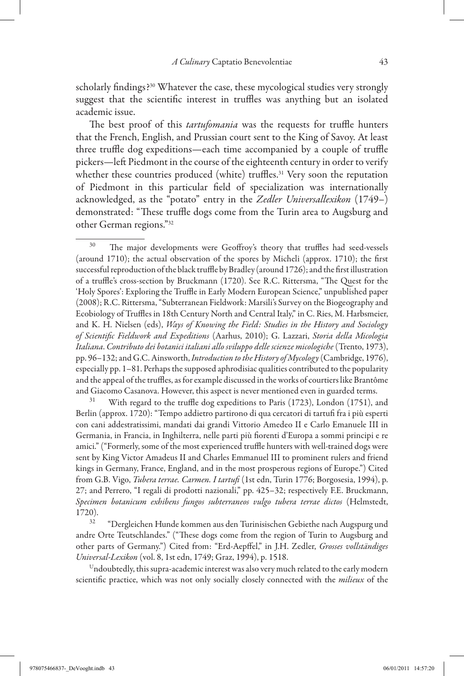scholarly findings?<sup>30</sup> Whatever the case, these mycological studies very strongly suggest that the scientific interest in truffles was anything but an isolated academic issue.

The best proof of this *tartufomania* was the requests for truffle hunters that the French, English, and Prussian court sent to the King of Savoy. At least three truffle dog expeditions—each time accompanied by a couple of truffle pickers—left Piedmont in the course of the eighteenth century in order to verify whether these countries produced (white) truffles.<sup>31</sup> Very soon the reputation of Piedmont in this particular field of specialization was internationally acknowledged, as the "potato" entry in the *Zedler Universallexikon* (1749–) demonstrated: "These truffle dogs come from the Turin area to Augsburg and other German regions."32

 $31$  With regard to the truffle dog expeditions to Paris (1723), London (1751), and Berlin (approx. 1720): "Tempo addietro partirono di qua cercatori di tartufi fra i più esperti con cani addestratissimi, mandati dai grandi Vittorio Amedeo II e Carlo Emanuele III in Germania, in Francia, in Inghilterra, nelle parti più fiorenti d'Europa a sommi principi e re amici." ("Formerly, some of the most experienced truffle hunters with well-trained dogs were sent by King Victor Amadeus II and Charles Emmanuel III to prominent rulers and friend kings in Germany, France, England, and in the most prosperous regions of Europe.") Cited from G.B. Vigo, *Tubera terrae. Carmen. I tartufi* (1st edn, Turin 1776; Borgosesia, 1994), p. 27; and Perrero, "I regali di prodotti nazionali," pp. 425–32; respectively F.E. Bruckmann, *Specimen botanicum exhibens fungos subterraneos vulgo tubera terrae dictos* (Helmstedt, 1720).

<sup>32</sup> "Dergleichen Hunde kommen aus den Turinisischen Gebiethe nach Augspurg und andre Orte Teutschlandes." ("These dogs come from the region of Turin to Augsburg and other parts of Germany.") Cited from: "Erd-Aepffel," in J.H. Zedler, *Grosses vollständiges Universal-Lexikon* (vol. 8, 1st edn, 1749; Graz, 1994), p. 1518.

Undoubtedly, this supra-academic interest was also very much related to the early modern scientific practice, which was not only socially closely connected with the *milieux* of the

<sup>&</sup>lt;sup>30</sup> The major developments were Geoffroy's theory that truffles had seed-vessels (around 1710); the actual observation of the spores by Micheli (approx. 1710); the first successful reproduction of the black truffle by Bradley (around 1726); and the first illustration of a truffle's cross-section by Bruckmann (1720). See R.C. Rittersma, "The Quest for the 'Holy Spores': Exploring the Truffle in Early Modern European Science," unpublished paper (2008); R.C. Rittersma, "Subterranean Fieldwork: Marsili's Survey on the Biogeography and Ecobiology of Truffles in 18th Century North and Central Italy," in C. Ries, M. Harbsmeier, and K. H. Nielsen (eds), *Ways of Knowing the Field: Studies in the History and Sociology of Scientific Fieldwork and Expeditions* (Aarhus, 2010); G. Lazzari, *Storia della Micologia Italiana*. *Contributo dei botanici italiani allo sviluppo delle scienze micologiche* (Trento, 1973), pp. 96–132; and G.C. Ainsworth, *Introduction to the History of Mycology* (Cambridge, 1976), especially pp. 1–81. Perhaps the supposed aphrodisiac qualities contributed to the popularity and the appeal of the truffles, as for example discussed in the works of courtierslike Brantôme and Giacomo Casanova. However, this aspect is never mentioned even in guarded terms.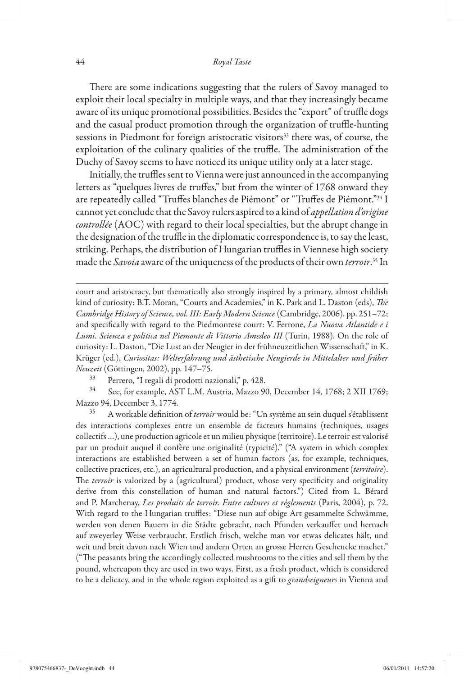There are some indications suggesting that the rulers of Savoy managed to exploit their local specialty in multiple ways, and that they increasingly became aware of its unique promotional possibilities. Besides the "export" of truffle dogs and the casual product promotion through the organization of truffle-hunting sessions in Piedmont for foreign aristocratic visitors<sup>33</sup> there was, of course, the exploitation of the culinary qualities of the truffle. The administration of the Duchy of Savoy seems to have noticed its unique utility only at a later stage.

Initially, the truffles sent to Vienna were just announced in the accompanying letters as "quelques livres de truffes," but from the winter of 1768 onward they are repeatedly called "Truffes blanches de Piémont" or "Truffes de Piémont."34 I cannot yet conclude that the Savoy rulers aspired to a kind of *appellation d'origine controllée* (AOC) with regard to their local specialties, but the abrupt change in the designation of the truffle in the diplomatic correspondence is, to say the least, striking. Perhaps, the distribution of Hungarian truffles in Viennese high society made the *Savoia* aware of the uniqueness of the products of their own *terroir*. <sup>35</sup> In

court and aristocracy, but thematically also strongly inspired by a primary, almost childish kind of curiosity: B.T. Moran, "Courts and Academies," in K. Park and L. Daston (eds), *The Cambridge History of Science, vol. III: Early Modern Science* (Cambridge, 2006), pp. 251–72; and specifically with regard to the Piedmontese court: V. Ferrone, *La Nuova Atlantide e i Lumi. Scienza e politica nel Piemonte di Vittorio Amedeo III* (Turin, 1988). On the role of curiosity: L. Daston, "Die Lust an der Neugier in der frühneuzeitlichen Wissenschaft," in K. Krüger (ed.), *Curiositas: Welterfahrung und ästhetische Neugierde in Mittelalter und früher Neuzeit* (Göttingen, 2002), pp. 147–75.

33 Perrero, "I regali di prodotti nazionali," p. 428.

See, for example, AST L.M. Austria, Mazzo 90, December 14, 1768; 2 XII 1769; Mazzo 94, December 3, 1774.

<sup>35</sup> A workable definition of *terroir* would be: "Un système au sein duquel s'établissent des interactions complexes entre un ensemble de facteurs humains (techniques, usages collectifs …), une production agricole et un milieu physique (territoire). Le terroir est valorisé par un produit auquel il confère une originalité (typicité)." ("A system in which complex interactions are established between a set of human factors (as, for example, techniques, collective practices, etc.), an agricultural production, and a physical environment (*territoire*). The *terroir* is valorized by a (agricultural) product, whose very specificity and originality derive from this constellation of human and natural factors.") Cited from L. Bérard and P. Marchenay, *Les produits de terroir. Entre cultures et règlements* (Paris, 2004), p. 72. With regard to the Hungarian truffles: "Diese nun auf obige Art gesammelte Schwämme, werden von denen Bauern in die Städte gebracht, nach Pfunden verkauffet und hernach auf zweyerley Weise verbraucht. Erstlich frisch, welche man vor etwas delicates hält, und weit und breit davon nach Wien und andern Orten an grosse Herren Geschencke machet." ("The peasants bring the accordingly collected mushrooms to the cities and sell them by the pound, whereupon they are used in two ways. First, as a fresh product, which is considered to be a delicacy, and in the whole region exploited as a gift to *grandseigneurs* in Vienna and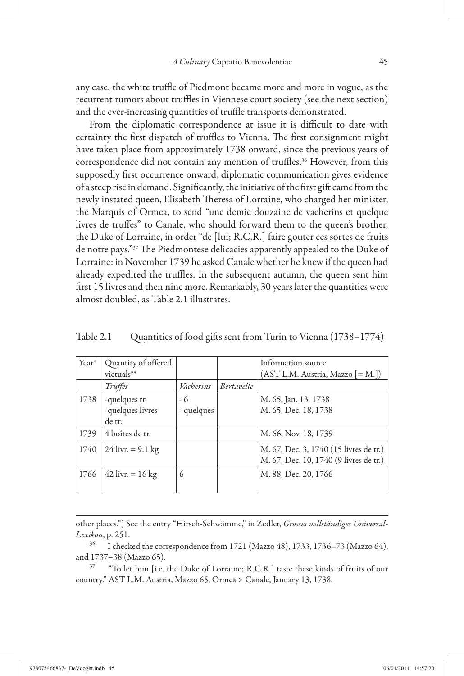any case, the white truffle of Piedmont became more and more in vogue, as the recurrent rumors about truffles in Viennese court society (see the next section) and the ever-increasing quantities of truffle transports demonstrated.

From the diplomatic correspondence at issue it is difficult to date with certainty the first dispatch of truffles to Vienna. The first consignment might have taken place from approximately 1738 onward, since the previous years of correspondence did not contain any mention of truffles.<sup>36</sup> However, from this supposedly first occurrence onward, diplomatic communication gives evidence of a steep rise in demand. Significantly, the initiative of the first gift came from the newly instated queen, Elisabeth Theresa of Lorraine, who charged her minister, the Marquis of Ormea, to send "une demie douzaine de vacherins et quelque livres de truffes" to Canale, who should forward them to the queen's brother, the Duke of Lorraine, in order "de [lui; R.C.R.] faire gouter ces sortes de fruits de notre pays."37 The Piedmontese delicacies apparently appealed to the Duke of Lorraine: in November 1739 he asked Canale whether he knew if the queen had already expedited the truffles. In the subsequent autumn, the queen sent him first 15 livres and then nine more. Remarkably, 30 years later the quantities were almost doubled, as Table 2.1 illustrates.

| Year <sup>*</sup> | Quantity of offered<br>victuals**           |                   |                   | Information source<br>(AST L.M. Austria, Mazzo [= M.])                           |
|-------------------|---------------------------------------------|-------------------|-------------------|----------------------------------------------------------------------------------|
|                   | Truffes                                     | Vacherins         | <i>Bertavelle</i> |                                                                                  |
| 1738              | -quelques tr.<br>-quelques livres<br>de tr. | - 6<br>- quelques |                   | M. 65, Jan. 13, 1738<br>M. 65, Dec. 18, 1738                                     |
| 1739              | 4 boîtes de tr.                             |                   |                   | M. 66, Nov. 18, 1739                                                             |
| 1740              | $24$ livr. = 9.1 kg                         |                   |                   | M. 67, Dec. 3, 1740 (15 livres de tr.)<br>M. 67, Dec. 10, 1740 (9 livres de tr.) |
| 1766              | 42 livr. $= 16 \text{ kg}$                  | 6                 |                   | M. 88, Dec. 20, 1766                                                             |

| Table 2.1 |  | Quantities of food gifts sent from Turin to Vienna (1738–1774) |  |  |
|-----------|--|----------------------------------------------------------------|--|--|
|-----------|--|----------------------------------------------------------------|--|--|

other places.") See the entry "Hirsch-Schwämme," in Zedler, *Grosses vollständiges Universal-Lexikon*, p. 251.<br><sup>36</sup> *L* check

<sup>36</sup> I checked the correspondence from 1721 (Mazzo 48), 1733, 1736–73 (Mazzo 64), and 1737–38 (Mazzo 65).

37 "To let him [i.e. the Duke of Lorraine; R.C.R.] taste these kinds of fruits of our country." AST L.M. Austria, Mazzo 65, Ormea > Canale, January 13, 1738.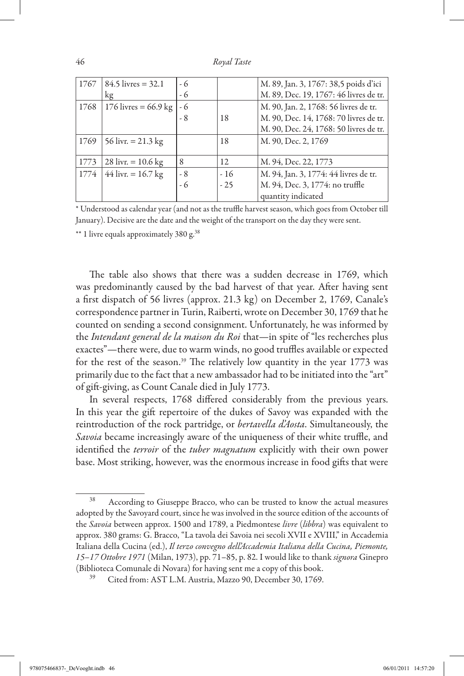| 46 | Royal Taste |  |
|----|-------------|--|
|----|-------------|--|

| 1767 | $84.5$ livres = 32.1           | - 6 |       | M. 89, Jan. 3, 1767: 38,5 poids d'ici  |
|------|--------------------------------|-----|-------|----------------------------------------|
|      | kg                             | - 6 |       | M. 89, Dec. 19, 1767: 46 livres de tr. |
| 1768 | 176 livres = $66.9 \text{ kg}$ | - 6 |       | M. 90, Jan. 2, 1768: 56 livres de tr.  |
|      |                                | - 8 | 18    | M. 90, Dec. 14, 1768: 70 livres de tr. |
|      |                                |     |       | M. 90, Dec. 24, 1768: 50 livres de tr. |
| 1769 | 56 livr. $= 21.3 \text{ kg}$   |     | 18    | M. 90, Dec. 2, 1769                    |
| 1773 | 28 livr. $= 10.6$ kg           | 8   | 12    | M. 94, Dec. 22, 1773                   |
| 1774 | $44$ livr. = 16.7 kg           | - 8 | $-16$ | M. 94, Jan. 3, 1774: 44 livres de tr.  |
|      |                                | - 6 | $-25$ | M. 94, Dec. 3, 1774: no truffle        |
|      |                                |     |       | quantity indicated                     |

\* Understood as calendar year (and not as the truffle harvest season, which goes from October till January). Decisive are the date and the weight of the transport on the day they were sent.

\*\* 1 livre equals approximately 380 g.<sup>38</sup>

The table also shows that there was a sudden decrease in 1769, which was predominantly caused by the bad harvest of that year. After having sent a first dispatch of 56 livres (approx. 21.3 kg) on December 2, 1769, Canale's correspondence partner in Turin, Raiberti, wrote on December 30, 1769 that he counted on sending a second consignment. Unfortunately, he was informed by the *Intendant general de la maison du Roi* that—in spite of "les recherches plus exactes"—there were, due to warm winds, no good truffles available or expected for the rest of the season.39 The relatively low quantity in the year 1773 was primarily due to the fact that a new ambassador had to be initiated into the "art" of gift-giving, as Count Canale died in July 1773.

In several respects, 1768 differed considerably from the previous years. In this year the gift repertoire of the dukes of Savoy was expanded with the reintroduction of the rock partridge, or *bertavella d'Aosta*. Simultaneously, the *Savoia* became increasingly aware of the uniqueness of their white truffle, and identified the *terroir* of the *tuber magnatum* explicitly with their own power base. Most striking, however, was the enormous increase in food gifts that were

According to Giuseppe Bracco, who can be trusted to know the actual measures adopted by the Savoyard court, since he was involved in the source edition of the accounts of the *Savoia* between approx. 1500 and 1789, a Piedmontese *livre* (*libbra*) was equivalent to approx. 380 grams: G. Bracco, "La tavola dei Savoia nei secoli XVII e XVIII," in Accademia Italiana della Cucina (ed.), *Il terzo convegno dell'Accademia Italiana della Cucina, Piemonte, 15–17 Ottobre 1971* (Milan, 1973), pp. 71–85, p. 82. I would like to thank *signora* Ginepro (Biblioteca Comunale di Novara) for having sent me a copy of this book.

<sup>39</sup> Cited from: AST L.M. Austria, Mazzo 90, December 30, 1769.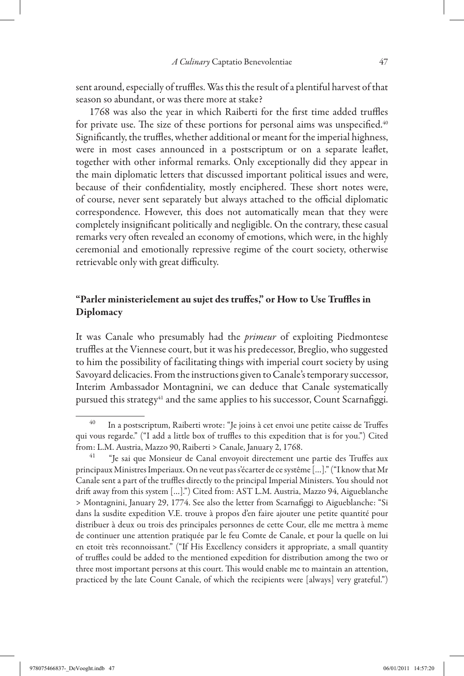sent around, especially of truffles. Was this the result of a plentiful harvest of that season so abundant, or was there more at stake?

1768 was also the year in which Raiberti for the first time added truffles for private use. The size of these portions for personal aims was unspecified.<sup>40</sup> Significantly, the truffles, whether additional or meant for the imperial highness, were in most cases announced in a postscriptum or on a separate leaflet, together with other informal remarks. Only exceptionally did they appear in the main diplomatic letters that discussed important political issues and were, because of their confidentiality, mostly enciphered. These short notes were, of course, never sent separately but always attached to the official diplomatic correspondence. However, this does not automatically mean that they were completely insignificant politically and negligible. On the contrary, these casual remarks very often revealed an economy of emotions, which were, in the highly ceremonial and emotionally repressive regime of the court society, otherwise retrievable only with great difficulty.

## "Parler ministerielement au sujet des truffes," or How to Use Truffles in Diplomacy

It was Canale who presumably had the *primeur* of exploiting Piedmontese truffles at the Viennese court, but it was his predecessor, Breglio, who suggested to him the possibility of facilitating things with imperial court society by using Savoyard delicacies. From the instructions given to Canale's temporary successor, Interim Ambassador Montagnini, we can deduce that Canale systematically pursued this strategy<sup>41</sup> and the same applies to his successor, Count Scarnafiggi.

In a postscriptum, Raiberti wrote: "Je joins à cet envoi une petite caisse de Truffes qui vous regarde." ("I add a little box of truffles to this expedition that is for you.") Cited from: L.M. Austria, Mazzo 90, Raiberti > Canale, January 2, 1768.

<sup>41 &</sup>quot;Je sai que Monsieur de Canal envoyoit directement une partie des Truffes aux principaux Ministres Imperiaux. On ne veut pas s'écarter de ce systême […]." ("I know that Mr Canale sent a part of the truffles directly to the principal Imperial Ministers. You should not drift away from this system […].") Cited from: AST L.M. Austria, Mazzo 94, Aigueblanche > Montagnini, January 29, 1774. See also the letter from Scarnafiggi to Aigueblanche: "Si dans la susdite expedition V.E. trouve à propos d'en faire ajouter une petite quantité pour distribuer à deux ou trois des principales personnes de cette Cour, elle me mettra à meme de continuer une attention pratiquée par le feu Comte de Canale, et pour la quelle on lui en etoit très reconnoissant." ("If His Excellency considers it appropriate, a small quantity of truffles could be added to the mentioned expedition for distribution among the two or three most important persons at this court. This would enable me to maintain an attention, practiced by the late Count Canale, of which the recipients were [always] very grateful.")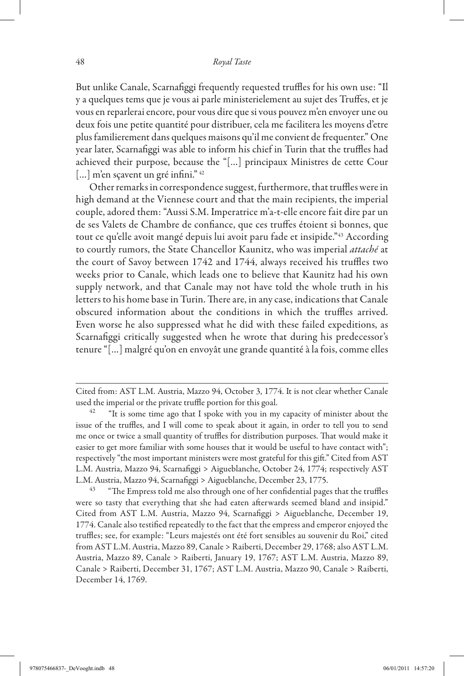But unlike Canale, Scarnafiggi frequently requested truffles for his own use: "Il y a quelques tems que je vous ai parle ministerielement au sujet des Truffes, et je vous en reparlerai encore, pour vous dire que si vous pouvez m'en envoyer une ou deux fois une petite quantité pour distribuer, cela me facilitera les moyens d'etre plus familierement dans quelques maisons qu'il me convient de frequenter." One year later, Scarnafiggi was able to inform his chief in Turin that the truffles had achieved their purpose, because the "[…] principaux Ministres de cette Cour [...] m'en sçavent un gré infini." <sup>42</sup>

Other remarks in correspondence suggest, furthermore, that truffles were in high demand at the Viennese court and that the main recipients, the imperial couple, adored them: "Aussi S.M. Imperatrice m'a-t-elle encore fait dire par un de ses Valets de Chambre de confiance, que ces truffes étoient si bonnes, que tout ce qu'elle avoit mangé depuis lui avoit paru fade et insipide."43 According to courtly rumors, the State Chancellor Kaunitz, who was imperial *attaché* at the court of Savoy between 1742 and 1744, always received his truffles two weeks prior to Canale, which leads one to believe that Kaunitz had his own supply network, and that Canale may not have told the whole truth in his letters to his home base in Turin. There are, in any case, indications that Canale obscured information about the conditions in which the truffles arrived. Even worse he also suppressed what he did with these failed expeditions, as Scarnafiggi critically suggested when he wrote that during his predecessor's tenure "[…] malgré qu'on en envoyât une grande quantité à la fois, comme elles

Cited from: AST L.M. Austria, Mazzo 94, October 3, 1774. It is not clear whether Canale used the imperial or the private truffle portion for this goal.

<sup>&</sup>quot;It is some time ago that I spoke with you in my capacity of minister about the issue of the truffles, and I will come to speak about it again, in order to tell you to send me once or twice a small quantity of truffles for distribution purposes. That would make it easier to get more familiar with some houses that it would be useful to have contact with"; respectively "the most important ministers were most grateful for this gift." Cited from AST L.M. Austria, Mazzo 94, Scarnafiggi > Aigueblanche, October 24, 1774; respectively AST L.M. Austria, Mazzo 94, Scarnafiggi > Aigueblanche, December 23, 1775.

 $43$  "The Empress told me also through one of her confidential pages that the truffles were so tasty that everything that she had eaten afterwards seemed bland and insipid." Cited from AST L.M. Austria, Mazzo 94, Scarnafiggi > Aigueblanche, December 19, 1774. Canale also testified repeatedly to the fact that the empress and emperor enjoyed the truffles; see, for example: "Leurs majestés ont été fort sensibles au souvenir du Roi," cited from AST L.M. Austria, Mazzo 89, Canale > Raiberti, December 29, 1768; also AST L.M. Austria, Mazzo 89, Canale > Raiberti, January 19, 1767; AST L.M. Austria, Mazzo 89, Canale > Raiberti, December 31, 1767; AST L.M. Austria, Mazzo 90, Canale > Raiberti, December 14, 1769.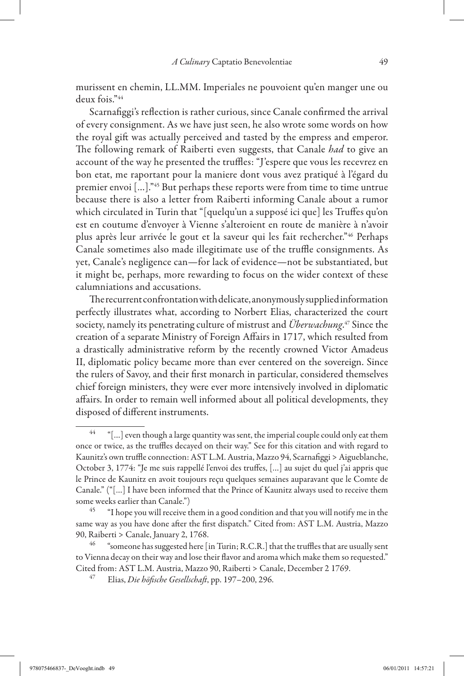murissent en chemin, LL.MM. Imperiales ne pouvoient qu'en manger une ou deux fois."44

Scarnafiggi's reflection is rather curious, since Canale confirmed the arrival of every consignment. As we have just seen, he also wrote some words on how the royal gift was actually perceived and tasted by the empress and emperor. The following remark of Raiberti even suggests, that Canale *had* to give an account of the way he presented the truffles: "J'espere que vous les recevrez en bon etat, me raportant pour la maniere dont vous avez pratiqué à l'égard du premier envoi […]."45 But perhaps these reports were from time to time untrue because there is also a letter from Raiberti informing Canale about a rumor which circulated in Turin that "[quelqu'un a supposé ici que] les Truffes qu'on est en coutume d'envoyer à Vienne s'alteroient en route de manière à n'avoir plus après leur arrivée le gout et la saveur qui les fait rechercher."46 Perhaps Canale sometimes also made illegitimate use of the truffle consignments. As yet, Canale's negligence can—for lack of evidence—not be substantiated, but it might be, perhaps, more rewarding to focus on the wider context of these calumniations and accusations.

The recurrent confrontation with delicate, anonymously supplied information perfectly illustrates what, according to Norbert Elias, characterized the court society, namely its penetrating culture of mistrust and *Überwachung*. <sup>47</sup> Since the creation of a separate Ministry of Foreign Affairs in 1717, which resulted from a drastically administrative reform by the recently crowned Victor Amadeus II, diplomatic policy became more than ever centered on the sovereign. Since the rulers of Savoy, and their first monarch in particular, considered themselves chief foreign ministers, they were ever more intensively involved in diplomatic affairs. In order to remain well informed about all political developments, they disposed of different instruments.

<sup>44 &</sup>quot;[…] even though a large quantity was sent, the imperial couple could only eat them once or twice, as the truffles decayed on their way." See for this citation and with regard to Kaunitz's own truffle connection: AST L.M. Austria, Mazzo 94, Scarnafiggi > Aigueblanche, October 3, 1774: "Je me suis rappellé l'envoi des truffes, […] au sujet du quel j'ai appris que le Prince de Kaunitz en avoit toujours reçu quelques semaines auparavant que le Comte de Canale." ("[…] I have been informed that the Prince of Kaunitz always used to receive them some weeks earlier than Canale.")

<sup>45 &</sup>quot;I hope you will receive them in a good condition and that you will notify me in the same way as you have done after the first dispatch." Cited from: AST L.M. Austria, Mazzo 90, Raiberti > Canale, January 2, 1768.<br> $\frac{46}{3}$  "someone has suggested bere [i

<sup>46 &</sup>quot;someone has suggested here [in Turin; R.C.R.] that the truffles that are usually sent to Vienna decay on their way and lose their flavor and aroma which make them so requested." Cited from: AST L.M. Austria, Mazzo 90, Raiberti > Canale, December 2 1769.

<sup>47</sup> Elias, *Die höfische Gesellschaft*, pp. 197–200, 296.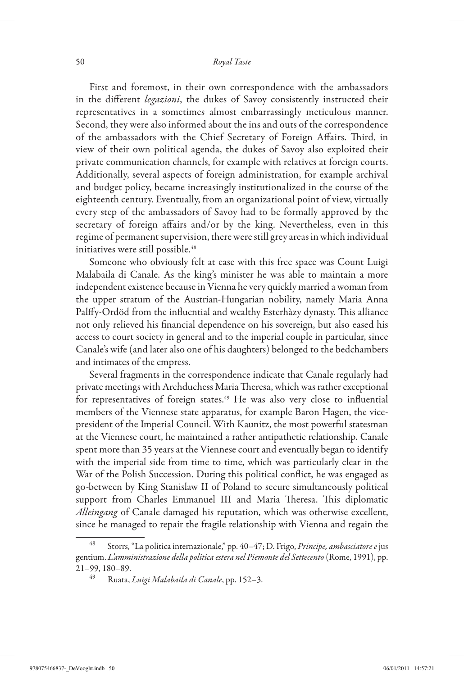First and foremost, in their own correspondence with the ambassadors in the different *legazioni*, the dukes of Savoy consistently instructed their representatives in a sometimes almost embarrassingly meticulous manner. Second, they were also informed about the ins and outs of the correspondence of the ambassadors with the Chief Secretary of Foreign Affairs. Third, in view of their own political agenda, the dukes of Savoy also exploited their private communication channels, for example with relatives at foreign courts. Additionally, several aspects of foreign administration, for example archival and budget policy, became increasingly institutionalized in the course of the eighteenth century. Eventually, from an organizational point of view, virtually every step of the ambassadors of Savoy had to be formally approved by the secretary of foreign affairs and/or by the king. Nevertheless, even in this regime of permanent supervision, there were still grey areas in which individual initiatives were still possible.<sup>48</sup>

Someone who obviously felt at ease with this free space was Count Luigi Malabaila di Canale. As the king's minister he was able to maintain a more independent existence because in Vienna he very quickly married a woman from the upper stratum of the Austrian-Hungarian nobility, namely Maria Anna Palffy-Ordöd from the influential and wealthy Esterhàzy dynasty. This alliance not only relieved his financial dependence on his sovereign, but also eased his access to court society in general and to the imperial couple in particular, since Canale's wife (and later also one of his daughters) belonged to the bedchambers and intimates of the empress.

Several fragments in the correspondence indicate that Canale regularly had private meetings with Archduchess Maria Theresa, which was rather exceptional for representatives of foreign states.<sup>49</sup> He was also very close to influential members of the Viennese state apparatus, for example Baron Hagen, the vicepresident of the Imperial Council. With Kaunitz, the most powerful statesman at the Viennese court, he maintained a rather antipathetic relationship. Canale spent more than 35 years at the Viennese court and eventually began to identify with the imperial side from time to time, which was particularly clear in the War of the Polish Succession. During this political conflict, he was engaged as go-between by King Stanislaw II of Poland to secure simultaneously political support from Charles Emmanuel III and Maria Theresa. This diplomatic *Alleingang* of Canale damaged his reputation, which was otherwise excellent, since he managed to repair the fragile relationship with Vienna and regain the

<sup>48</sup> Storrs, "La politica internazionale," pp. 40–47; D. Frigo, *Principe, ambasciatore e* jus gentium. *L'amministrazione della politica estera nel Piemonte del Settecento* (Rome, 1991), pp. 21–99, 180–89.<br> $\frac{49}{R}$ 

<sup>49</sup> Ruata, *Luigi Malabaila di Canale*, pp. 152–3.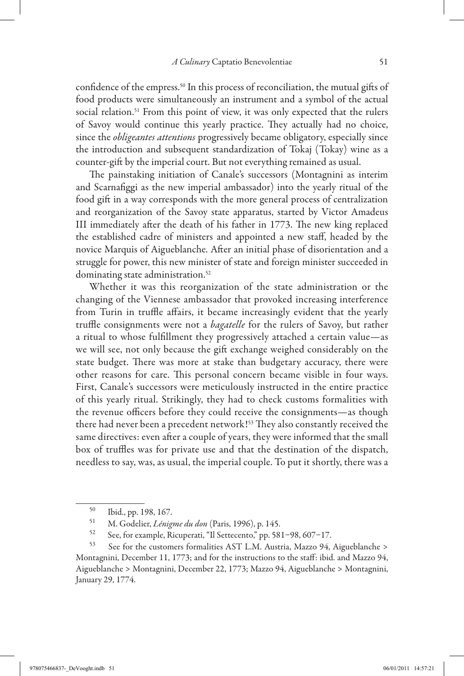confidence of the empress.50 In this process of reconciliation, the mutual gifts of food products were simultaneously an instrument and a symbol of the actual social relation.51 From this point of view, it was only expected that the rulers of Savoy would continue this yearly practice. They actually had no choice, since the *obligeantes attentions* progressively became obligatory, especially since the introduction and subsequent standardization of Tokaj (Tokay) wine as a counter-gift by the imperial court. But not everything remained as usual.

The painstaking initiation of Canale's successors (Montagnini as interim and Scarnafiggi as the new imperial ambassador) into the yearly ritual of the food gift in a way corresponds with the more general process of centralization and reorganization of the Savoy state apparatus, started by Victor Amadeus III immediately after the death of his father in 1773. The new king replaced the established cadre of ministers and appointed a new staff, headed by the novice Marquis of Aigueblanche. After an initial phase of disorientation and a struggle for power, this new minister of state and foreign minister succeeded in dominating state administration.52

Whether it was this reorganization of the state administration or the changing of the Viennese ambassador that provoked increasing interference from Turin in truffle affairs, it became increasingly evident that the yearly truffle consignments were not a *bagatelle* for the rulers of Savoy, but rather a ritual to whose fulfillment they progressively attached a certain value—as we will see, not only because the gift exchange weighed considerably on the state budget. There was more at stake than budgetary accuracy, there were other reasons for care. This personal concern became visible in four ways. First, Canale's successors were meticulously instructed in the entire practice of this yearly ritual. Strikingly, they had to check customs formalities with the revenue officers before they could receive the consignments—as though there had never been a precedent network!53 They also constantly received the same directives: even after a couple of years, they were informed that the small box of truffles was for private use and that the destination of the dispatch, needless to say, was, as usual, the imperial couple. To put it shortly, there was a

 $^{50}$  Ibid., pp. 198, 167.<br> $^{51}$  M Godelier *Lénis* 

<sup>51</sup> M. Godelier, *Lénigme du don* (Paris, 1996), p. 145.

<sup>52</sup> See, for example, Ricuperati, "Il Settecento," pp. 581–98, 607–17.

<sup>53</sup> See for the customers formalities AST L.M. Austria, Mazzo 94, Aigueblanche > Montagnini, December 11, 1773; and for the instructions to the staff: ibid. and Mazzo 94, Aigueblanche > Montagnini, December 22, 1773; Mazzo 94, Aigueblanche > Montagnini, January 29, 1774.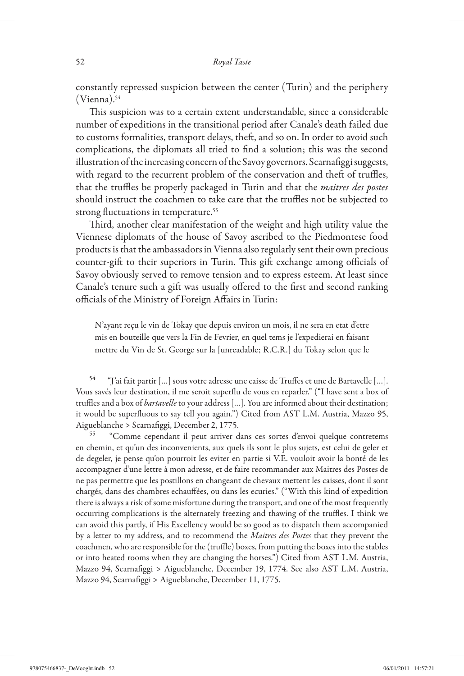constantly repressed suspicion between the center (Turin) and the periphery  $(Vienna)$ .<sup>54</sup>

This suspicion was to a certain extent understandable, since a considerable number of expeditions in the transitional period after Canale's death failed due to customs formalities, transport delays, theft, and so on. In order to avoid such complications, the diplomats all tried to find a solution; this was the second illustration of the increasing concern of the Savoy governors. Scarnafiggi suggests, with regard to the recurrent problem of the conservation and theft of truffles, that the truffles be properly packaged in Turin and that the *maitres des postes* should instruct the coachmen to take care that the truffles not be subjected to strong fluctuations in temperature.<sup>55</sup>

Third, another clear manifestation of the weight and high utility value the Viennese diplomats of the house of Savoy ascribed to the Piedmontese food products is that the ambassadors in Vienna also regularly sent their own precious counter-gift to their superiors in Turin. This gift exchange among officials of Savoy obviously served to remove tension and to express esteem. At least since Canale's tenure such a gift was usually offered to the first and second ranking officials of the Ministry of Foreign Affairs in Turin:

N'ayant reçu le vin de Tokay que depuis environ un mois, il ne sera en etat d'etre mis en bouteille que vers la Fin de Fevrier, en quel tems je l'expedierai en faisant mettre du Vin de St. George sur la [unreadable; R.C.R.] du Tokay selon que le

<sup>54 &</sup>quot;J'ai fait partir […] sous votre adresse une caisse de Truffes et une de Bartavelle […]. Vous savés leur destination, il me seroit superflu de vous en reparler." ("I have sent a box of truffles and a box of *bartavelle* to your address […]. You are informed about their destination; it would be superfluous to say tell you again.") Cited from AST L.M. Austria, Mazzo 95, Aigueblanche > Scarnafiggi, December 2, 1775.

<sup>55 &</sup>quot;Comme cependant il peut arriver dans ces sortes d'envoi quelque contretems en chemin, et qu'un des inconvenients, aux quels ils sont le plus sujets, est celui de geler et de degeler, je pense qu'on pourroit les eviter en partie si V.E. vouloit avoir la bonté de les accompagner d'une lettre à mon adresse, et de faire recommander aux Maitres des Postes de ne pas permettre que les postillons en changeant de chevaux mettent les caisses, dont il sont chargés, dans des chambres echauffées, ou dans les ecuries." ("With this kind of expedition there is always a risk of some misfortune during the transport, and one of the most frequently occurring complications is the alternately freezing and thawing of the truffles. I think we can avoid this partly, if His Excellency would be so good as to dispatch them accompanied by a letter to my address, and to recommend the *Maitres des Postes* that they prevent the coachmen, who are responsible for the (truffle) boxes, from putting the boxes into the stables or into heated rooms when they are changing the horses.") Cited from AST L.M. Austria, Mazzo 94, Scarnafiggi > Aigueblanche, December 19, 1774. See also AST L.M. Austria, Mazzo 94, Scarnafiggi > Aigueblanche, December 11, 1775.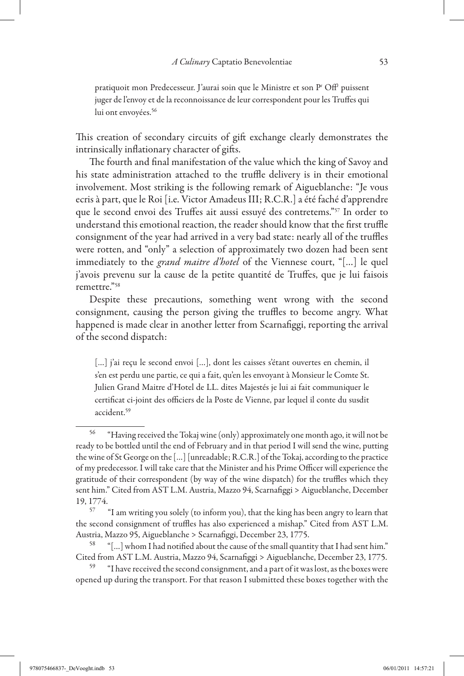pratiquoit mon Predecesseur. J'aurai soin que le Ministre et son Pr Offr puissent juger de l'envoy et de la reconnoissance de leur correspondent pour les Truffes qui lui ont envoyées.<sup>56</sup>

This creation of secondary circuits of gift exchange clearly demonstrates the intrinsically inflationary character of gifts.

The fourth and final manifestation of the value which the king of Savoy and his state administration attached to the truffle delivery is in their emotional involvement. Most striking is the following remark of Aigueblanche: "Je vous ecris à part, que le Roi [i.e. Victor Amadeus III; R.C.R.] a été faché d'apprendre que le second envoi des Truffes ait aussi essuyé des contretems."57 In order to understand this emotional reaction, the reader should know that the first truffle consignment of the year had arrived in a very bad state: nearly all of the truffles were rotten, and "only" a selection of approximately two dozen had been sent immediately to the *grand maitre d'hotel* of the Viennese court, "[…] le quel j'avois prevenu sur la cause de la petite quantité de Truffes, que je lui faisois remettre."58

Despite these precautions, something went wrong with the second consignment, causing the person giving the truffles to become angry. What happened is made clear in another letter from Scarnafiggi, reporting the arrival of the second dispatch:

[...] j'ai reçu le second envoi [...], dont les caisses s'étant ouvertes en chemin, il s'en est perdu une partie, ce qui a fait, qu'en les envoyant à Monsieur le Comte St. Julien Grand Maitre d'Hotel de LL. dites Majestés je lui ai fait communiquer le certificat ci-joint des officiers de la Poste de Vienne, par lequel il conte du susdit accident.59

<sup>56 &</sup>quot;Having received the Tokaj wine (only) approximately one month ago, it will not be ready to be bottled until the end of February and in that period I will send the wine, putting the wine of St George on the […] [unreadable; R.C.R.] of the Tokaj, according to the practice of my predecessor. I will take care that the Minister and his Prime Officer will experience the gratitude of their correspondent (by way of the wine dispatch) for the truffles which they sent him." Cited from AST L.M. Austria, Mazzo 94, Scarnafiggi > Aigueblanche, December 19, 1774.

<sup>57 &</sup>quot;I am writing you solely (to inform you), that the king has been angry to learn that the second consignment of truffles has also experienced a mishap." Cited from AST L.M. Austria, Mazzo 95, Aigueblanche > Scarnafiggi, December 23, 1775.

<sup>58 &</sup>quot;[…] whom I had notified about the cause of the small quantity that I had sent him." Cited from AST L.M. Austria, Mazzo 94, Scarnafiggi > Aigueblanche, December 23, 1775.

<sup>59 &</sup>quot;I have received the second consignment, and a part of it was lost, as the boxes were opened up during the transport. For that reason I submitted these boxes together with the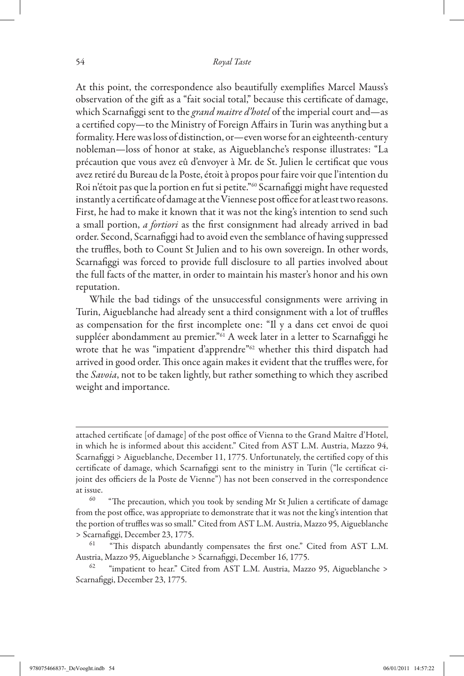At this point, the correspondence also beautifully exemplifies Marcel Mauss's observation of the gift as a "fait social total," because this certificate of damage, which Scarnafiggi sent to the *grand maitre d'hotel* of the imperial court and—as a certified copy—to the Ministry of Foreign Affairs in Turin was anything but a formality. Here was loss of distinction, or—even worse for an eighteenth-century nobleman—loss of honor at stake, as Aigueblanche's response illustrates: "La précaution que vous avez eû d'envoyer à Mr. de St. Julien le certificat que vous avez retiré du Bureau de la Poste, étoit à propos pour faire voir que l'intention du Roi n'étoit pas que la portion en fut si petite."<sup>60</sup> Scarnafiggi might have requested instantly a certificate of damage at the Viennese post office for at least two reasons. First, he had to make it known that it was not the king's intention to send such a small portion, *a fortiori* as the first consignment had already arrived in bad order. Second, Scarnafiggi had to avoid even the semblance of having suppressed the truffles, both to Count St Julien and to his own sovereign. In other words, Scarnafiggi was forced to provide full disclosure to all parties involved about the full facts of the matter, in order to maintain his master's honor and his own reputation.

While the bad tidings of the unsuccessful consignments were arriving in Turin, Aigueblanche had already sent a third consignment with a lot of truffles as compensation for the first incomplete one: "Il y a dans cet envoi de quoi suppléer abondamment au premier."61 A week later in a letter to Scarnafiggi he wrote that he was "impatient d'apprendre"<sup>62</sup> whether this third dispatch had arrived in good order. This once again makes it evident that the truffles were, for the *Savoia*, not to be taken lightly, but rather something to which they ascribed weight and importance.

attached certificate [of damage] of the post office of Vienna to the Grand Maître d'Hotel, in which he is informed about this accident." Cited from AST L.M. Austria, Mazzo 94, Scarnafiggi > Aigueblanche, December 11, 1775. Unfortunately, the certified copy of this certificate of damage, which Scarnafiggi sent to the ministry in Turin ("le certificat cijoint des officiers de la Poste de Vienne") has not been conserved in the correspondence at issue.

<sup>&</sup>quot;The precaution, which you took by sending Mr St Julien a certificate of damage from the post office, was appropriate to demonstrate that it was not the king's intention that the portion of truffles was so small." Cited from AST L.M. Austria, Mazzo 95, Aigueblanche > Scarnafiggi, December 23, 1775.

<sup>&</sup>quot;This dispatch abundantly compensates the first one." Cited from AST L.M. Austria, Mazzo 95, Aigueblanche > Scarnafiggi, December 16, 1775.

<sup>&</sup>quot;impatient to hear." Cited from AST L.M. Austria, Mazzo 95, Aigueblanche > Scarnafiggi, December 23, 1775.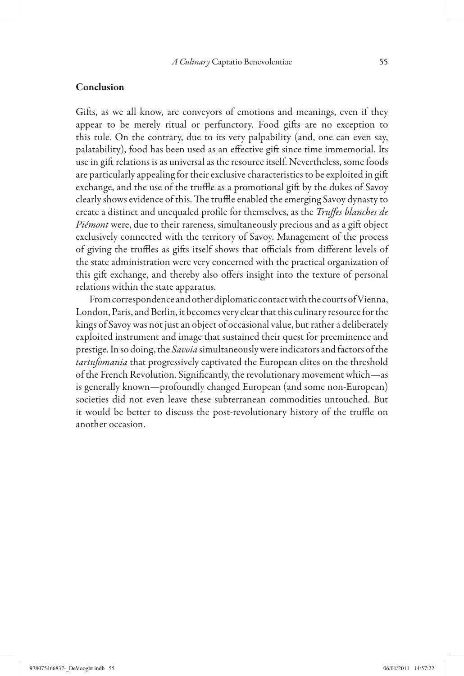#### Conclusion

Gifts, as we all know, are conveyors of emotions and meanings, even if they appear to be merely ritual or perfunctory. Food gifts are no exception to this rule. On the contrary, due to its very palpability (and, one can even say, palatability), food has been used as an effective gift since time immemorial. Its use in gift relations is as universal as the resource itself. Nevertheless, some foods are particularly appealing for their exclusive characteristics to be exploited in gift exchange, and the use of the truffle as a promotional gift by the dukes of Savoy clearly shows evidence of this. The truffle enabled the emerging Savoy dynasty to create a distinct and unequaled profile for themselves, as the *Truffes blanches de Piémont* were, due to their rareness, simultaneously precious and as a gift object exclusively connected with the territory of Savoy. Management of the process of giving the truffles as gifts itself shows that officials from different levels of the state administration were very concerned with the practical organization of this gift exchange, and thereby also offers insight into the texture of personal relations within the state apparatus.

From correspondence and other diplomatic contact with the courts of Vienna, London, Paris, and Berlin, it becomes very clear that this culinary resource for the kings of Savoy was not just an object of occasional value, but rather a deliberately exploited instrument and image that sustained their quest for preeminence and prestige. In so doing, the *Savoia* simultaneously were indicators and factors of the *tartufomania* that progressively captivated the European elites on the threshold of the French Revolution. Significantly, the revolutionary movement which—as is generally known—profoundly changed European (and some non-European) societies did not even leave these subterranean commodities untouched. But it would be better to discuss the post-revolutionary history of the truffle on another occasion.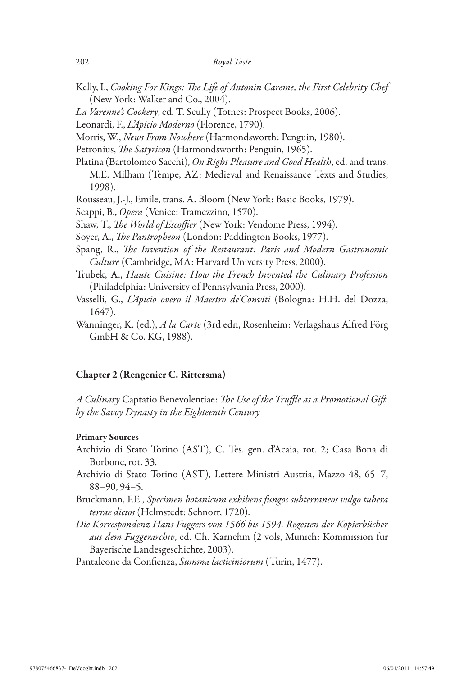- Kelly, I., *Cooking For Kings: The Life of Antonin Careme, the First Celebrity Chef*  (New York: Walker and Co., 2004).
- *La Varenne's Cookery*, ed. T. Scully (Totnes: Prospect Books, 2006).
- Leonardi, F., *L'Apicio Moderno* (Florence, 1790).
- Morris, W., *News From Nowhere* (Harmondsworth: Penguin, 1980).
- Petronius, *The Satyricon* (Harmondsworth: Penguin, 1965).
- Platina (Bartolomeo Sacchi), *On Right Pleasure and Good Health*, ed. and trans. M.E. Milham (Tempe, AZ: Medieval and Renaissance Texts and Studies, 1998).
- Rousseau, J.-J., Emile, trans. A. Bloom (New York: Basic Books, 1979).
- Scappi, B., *Opera* (Venice: Tramezzino, 1570).
- Shaw, T., *The World of Escoffier* (New York: Vendome Press, 1994).
- Soyer, A., *The Pantropheon* (London: Paddington Books, 1977).
- Spang, R., *The Invention of the Restaurant: Paris and Modern Gastronomic Culture* (Cambridge, MA: Harvard University Press, 2000).
- Trubek, A., *Haute Cuisine: How the French Invented the Culinary Profession* (Philadelphia: University of Pennsylvania Press, 2000).
- Vasselli, G., *L'Apicio overo il Maestro de'Conviti* (Bologna: H.H. del Dozza, 1647).
- Wanninger, K. (ed.), *A la Carte* (3rd edn, Rosenheim: Verlagshaus Alfred Förg GmbH & Co. KG, 1988).

#### Chapter 2 (Rengenier C. Rittersma)

*A Culinary* Captatio Benevolentiae: *The Use of the Truffle as a Promotional Gift by the Savoy Dynasty in the Eighteenth Century*

#### Primary Sources

- Archivio di Stato Torino (AST), C. Tes. gen. d'Acaia, rot. 2; Casa Bona di Borbone, rot. 33.
- Archivio di Stato Torino (AST), Lettere Ministri Austria, Mazzo 48, 65–7, 88–90, 94–5.
- Bruckmann, F.E., *Specimen botanicum exhibens fungos subterraneos vulgo tubera terrae dictos* (Helmstedt: Schnorr, 1720).
- *Die Korrespondenz Hans Fuggers von 1566 bis 1594. Regesten der Kopierbücher aus dem Fuggerarchiv*, ed. Ch. Karnehm (2 vols, Munich: Kommission für Bayerische Landesgeschichte, 2003).
- Pantaleone da Confienza, *Summa lacticiniorum* (Turin, 1477).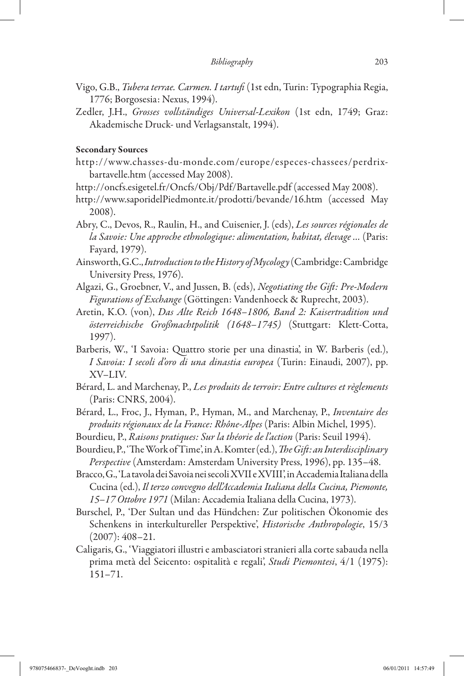- Vigo, G.B., *Tubera terrae. Carmen. I tartufi* (1st edn, Turin: Typographia Regia, 1776; Borgosesia: Nexus, 1994).
- Zedler, J.H., *Grosses vollständiges Universal-Lexikon* (1st edn, 1749; Graz: Akademische Druck- und Verlagsanstalt, 1994).

#### Secondary Sources

- http://www.chasses-du-monde.com/europe/especes-chassees/perdrixbartavelle.htm (accessed May 2008).
- http://oncfs.esigetel.fr/Oncfs/Obj/Pdf/Bartavelle.pdf (accessed May 2008).
- http://www.saporidelPiedmonte.it/prodotti/bevande/16.htm (accessed May 2008).
- Abry, C., Devos, R., Raulin, H., and Cuisenier, J. (eds), *Les sources régionales de la Savoie: Une approche ethnologique: alimentation, habitat, élevage …* (Paris: Fayard, 1979).
- Ainsworth, G.C., *Introduction to the History of Mycology* (Cambridge: Cambridge University Press, 1976).
- Algazi, G., Groebner, V., and Jussen, B. (eds), *Negotiating the Gift: Pre-Modern Figurations of Exchange* (Göttingen: Vandenhoeck & Ruprecht, 2003).
- Aretin, K.O. (von), *Das Alte Reich 1648–1806, Band 2: Kaisertradition und österreichische Großmachtpolitik (1648–1745)* (Stuttgart: Klett-Cotta, 1997).
- Barberis, W., 'I Savoia: Quattro storie per una dinastia', in W. Barberis (ed.), *I Savoia: I secoli d'oro di una dinastia europea* (Turin: Einaudi, 2007), pp. XV–LIV.
- Bérard, L. and Marchenay, P., *Les produits de terroir: Entre cultures et règlements* (Paris: CNRS, 2004).
- Bérard, L., Froc, J., Hyman, P., Hyman, M., and Marchenay, P., *Inventaire des produits régionaux de la France: Rhône-Alpes* (Paris: Albin Michel, 1995).
- Bourdieu, P., *Raisons pratiques: Sur la théorie de l'action* (Paris: Seuil 1994).
- Bourdieu, P., 'The Work of Time', in A. Komter (ed.), *The Gift: an Interdisciplinary Perspective* (Amsterdam: Amsterdam University Press, 1996), pp. 135–48.
- Bracco, G., 'La tavola dei Savoia nei secoli XVII e XVIII', in Accademia Italiana della Cucina (ed.), *Il terzo convegno dell'Accademia Italiana della Cucina, Piemonte, 15–17 Ottobre 1971* (Milan: Accademia Italiana della Cucina, 1973).
- Burschel, P., 'Der Sultan und das Hündchen: Zur politischen Ökonomie des Schenkens in interkultureller Perspektive', *Historische Anthropologie*, 15/3 (2007): 408–21.
- Caligaris, G., 'Viaggiatori illustri e ambasciatori stranieri alla corte sabauda nella prima metà del Seicento: ospitalità e regali', *Studi Piemontesi*, 4/1 (1975): 151–71.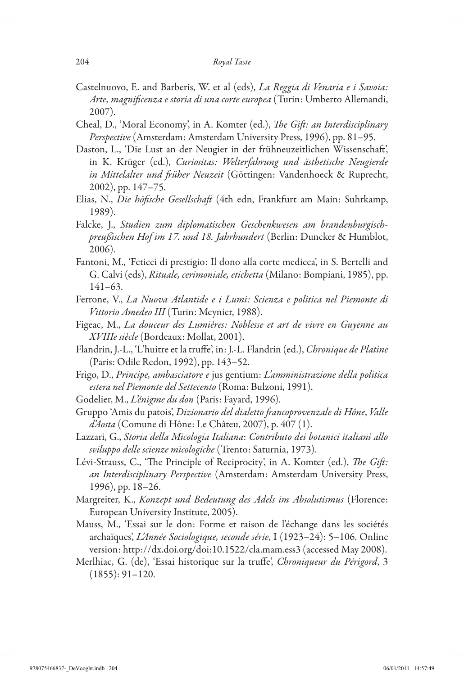- Castelnuovo, E. and Barberis, W. et al (eds), *La Reggia di Venaria e i Savoia: Arte, magnificenza e storia di una corte europea* (Turin: Umberto Allemandi, 2007).
- Cheal, D., 'Moral Economy', in A. Komter (ed.), *The Gift: an Interdisciplinary Perspective* (Amsterdam: Amsterdam University Press, 1996), pp. 81–95.
- Daston, L., 'Die Lust an der Neugier in der frühneuzeitlichen Wissenschaft', in K. Krüger (ed.), *Curiositas: Welterfahrung und ästhetische Neugierde in Mittelalter und früher Neuzeit* (Göttingen: Vandenhoeck & Ruprecht, 2002), pp. 147–75.
- Elias, N., *Die höfische Gesellschaft* (4th edn, Frankfurt am Main: Suhrkamp, 1989).
- Falcke, J., *Studien zum diplomatischen Geschenkwesen am brandenburgischpreußischen Hof im 17. und 18. Jahrhundert* (Berlin: Duncker & Humblot, 2006).
- Fantoni, M., 'Feticci di prestigio: Il dono alla corte medicea', in S. Bertelli and G. Calvi (eds), *Rituale, cerimoniale, etichetta* (Milano: Bompiani, 1985), pp. 141–63.
- Ferrone, V., *La Nuova Atlantide e i Lumi: Scienza e politica nel Piemonte di Vittorio Amedeo III* (Turin: Meynier, 1988).
- Figeac, M., *La douceur des Lumières: Noblesse et art de vivre en Guyenne au XVIIIe siècle* (Bordeaux: Mollat, 2001).
- Flandrin, J.-L., 'L'huitre et la truffe', in: J.-L. Flandrin (ed.), *Chronique de Platine* (Paris: Odile Redon, 1992), pp. 143–52.
- Frigo, D., *Principe, ambasciatore e* jus gentium: *L'amministrazione della politica estera nel Piemonte del Settecento* (Roma: Bulzoni, 1991).
- Godelier, M., *L'énigme du don* (Paris: Fayard, 1996).
- Gruppo 'Amis du patois', *Dizionario del dialetto francoprovenzale di Hône*, *Valle d'Aosta* (Comune di Hône: Le Châteu, 2007), p. 407 (1).
- Lazzari, G., *Storia della Micologia Italiana*: *Contributo dei botanici italiani allo sviluppo delle scienze micologiche* (Trento: Saturnia, 1973).
- Lévi-Strauss, C., 'The Principle of Reciprocity', in A. Komter (ed.), *The Gift: an Interdisciplinary Perspective* (Amsterdam: Amsterdam University Press, 1996), pp. 18–26.
- Margreiter, K., *Konzept und Bedeutung des Adels im Absolutismus* (Florence: European University Institute, 2005).
- Mauss, M., 'Essai sur le don: Forme et raison de l'échange dans les sociétés archaïques', *L'Année Sociologique, seconde série*, I (1923–24): 5–106. Online version: http://dx.doi.org/doi:10.1522/cla.mam.ess3 (accessed May 2008).
- Merlhiac, G. (de), 'Essai historique sur la truffe', *Chroniqueur du Périgord*, 3 (1855): 91–120.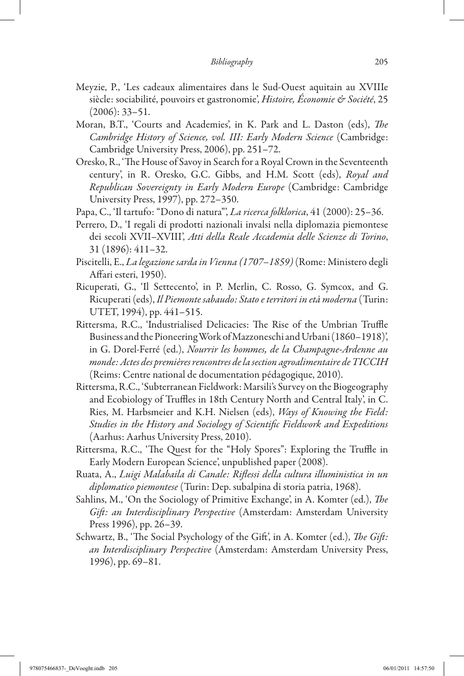- Meyzie, P., 'Les cadeaux alimentaires dans le Sud-Ouest aquitain au XVIIIe siècle: sociabilité, pouvoirs et gastronomie', *Histoire, Économie & Société*, 25 (2006): 33–51.
- Moran, B.T., 'Courts and Academies', in K. Park and L. Daston (eds), *The Cambridge History of Science, vol. III: Early Modern Science* (Cambridge: Cambridge University Press, 2006), pp. 251–72.
- Oresko, R., 'The House of Savoy in Search for a Royal Crown in the Seventeenth century', in R. Oresko, G.C. Gibbs, and H.M. Scott (eds), *Royal and Republican Sovereignty in Early Modern Europe* (Cambridge: Cambridge University Press, 1997), pp. 272–350.
- Papa, C., 'Il tartufo: "Dono di natura"', *La ricerca folklorica*, 41 (2000): 25–36.
- Perrero, D., 'I regali di prodotti nazionali invalsi nella diplomazia piemontese dei secoli XVII–XVIII', *Atti della Reale Accademia delle Scienze di Torino*, 31 (1896): 411–32.
- Piscitelli, E., *La legazione sarda in Vienna (1707–1859)* (Rome: Ministero degli Affari esteri, 1950).
- Ricuperati, G., 'Il Settecento', in P. Merlin, C. Rosso, G. Symcox, and G. Ricuperati (eds), *Il Piemonte sabaudo: Stato e territori in età moderna* (Turin: UTET, 1994), pp. 441–515.
- Rittersma, R.C., 'Industrialised Delicacies: The Rise of the Umbrian Truffle Business and the Pioneering Work of Mazzoneschi and Urbani (1860–1918)', in G. Dorel-Ferré (ed.), *Nourrir les hommes, de la Champagne-Ardenne au monde: Actes des premières rencontres de la section agroalimentaire de TICCIH* (Reims: Centre national de documentation pédagogique, 2010).
- Rittersma, R.C., 'Subterranean Fieldwork: Marsili's Survey on the Biogeography and Ecobiology of Truffles in 18th Century North and Central Italy', in C. Ries, M. Harbsmeier and K.H. Nielsen (eds), *Ways of Knowing the Field: Studies in the History and Sociology of Scientific Fieldwork and Expeditions* (Aarhus: Aarhus University Press, 2010).
- Rittersma, R.C., 'The Quest for the "Holy Spores": Exploring the Truffle in Early Modern European Science', unpublished paper (2008).
- Ruata, A., *Luigi Malabaila di Canale: Riflessi della cultura illuministica in un diplomatico piemontese* (Turin: Dep. subalpina di storia patria, 1968).
- Sahlins, M., 'On the Sociology of Primitive Exchange', in A. Komter (ed.), *The Gift: an Interdisciplinary Perspective* (Amsterdam: Amsterdam University Press 1996), pp. 26–39.
- Schwartz, B., 'The Social Psychology of the Gift', in A. Komter (ed.), *The Gift*: *an Interdisciplinary Perspective* (Amsterdam: Amsterdam University Press, 1996), pp. 69–81.